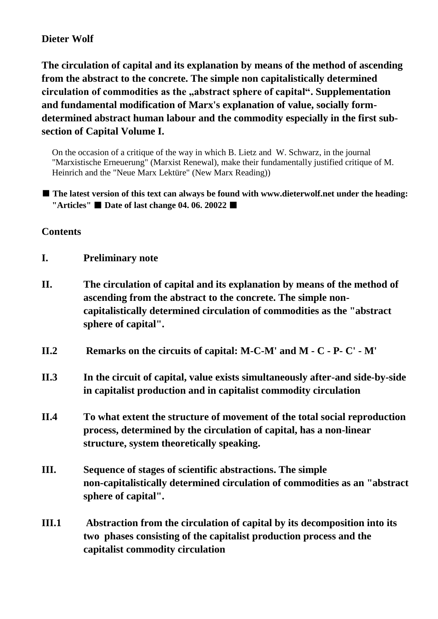#### **Dieter Wolf**

**The circulation of capital and its explanation by means of the method of ascending from the abstract to the concrete. The simple non capitalistically determined circulation of commodities as the "abstract sphere of capital". Supplementation and fundamental modification of Marx's explanation of value, socially formdetermined abstract human labour and the commodity especially in the first subsection of Capital Volume I.**

On the occasion of a critique of the way in which B. Lietz and W. Schwarz, in the journal "Marxistische Erneuerung" (Marxist Renewal), make their fundamentally justified critique of M. Heinrich and the "Neue Marx Lektüre" (New Marx Reading))

■ **The latest version of this text can always be found with www.dieterwolf.net under the heading: "Articles"** ■ **Date of last change 04. 06. 20022** ■

#### **Contents**

- **I. Preliminary note**
- **II. The circulation of capital and its explanation by means of the method of ascending from the abstract to the concrete. The simple noncapitalistically determined circulation of commodities as the "abstract sphere of capital".**
- **II.2 Remarks on the circuits of capital: M-C-M' and M - C - P- C' - M'**
- **II.3 In the circuit of capital, value exists simultaneously after-and side-by-side in capitalist production and in capitalist commodity circulation**
- **II.4 To what extent the structure of movement of the total social reproduction process, determined by the circulation of capital, has a non-linear structure, system theoretically speaking.**
- **III. Sequence of stages of scientific abstractions. The simple non-capitalistically determined circulation of commodities as an "abstract sphere of capital".**
- **III.1 Abstraction from the circulation of capital by its decomposition into its two phases consisting of the capitalist production process and the capitalist commodity circulation**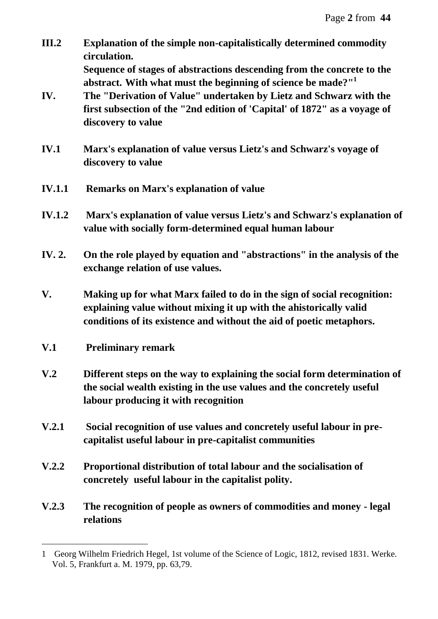**III.2 Explanation of the simple non-capitalistically determined commodity circulation.** 

**Sequence of stages of abstractions descending from the concrete to the abstract. With what must the beginning of science be made?"<sup>1</sup>** 

- **IV. The "Derivation of Value" undertaken by Lietz and Schwarz with the first subsection of the "2nd edition of 'Capital' of 1872" as a voyage of discovery to value**
- **IV.1 Marx's explanation of value versus Lietz's and Schwarz's voyage of discovery to value**
- **IV.1.1 Remarks on Marx's explanation of value**
- **IV.1.2 Marx's explanation of value versus Lietz's and Schwarz's explanation of value with socially form-determined equal human labour**
- **IV. 2. On the role played by equation and "abstractions" in the analysis of the exchange relation of use values.**
- **V. Making up for what Marx failed to do in the sign of social recognition: explaining value without mixing it up with the ahistorically valid conditions of its existence and without the aid of poetic metaphors.**
- **V.1 Preliminary remark**

- **V.2 Different steps on the way to explaining the social form determination of the social wealth existing in the use values and the concretely useful labour producing it with recognition**
- **V.2.1 Social recognition of use values and concretely useful labour in precapitalist useful labour in pre-capitalist communities**
- **V.2.2 Proportional distribution of total labour and the socialisation of concretely useful labour in the capitalist polity.**
- **V.2.3 The recognition of people as owners of commodities and money - legal relations**

<sup>1</sup> Georg Wilhelm Friedrich Hegel, 1st volume of the Science of Logic, 1812, revised 1831. Werke. Vol. 5, Frankfurt a. M. 1979, pp. 63,79.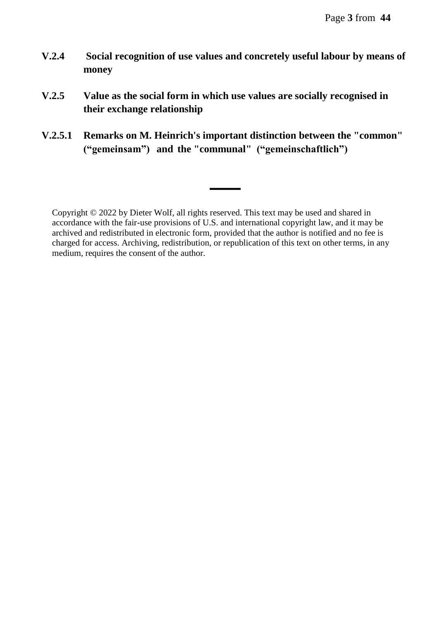- **V.2.4 Social recognition of use values and concretely useful labour by means of money**
- **V.2.5 Value as the social form in which use values are socially recognised in their exchange relationship**
- **V.2.5.1 Remarks on M. Heinrich's important distinction between the "common" ("gemeinsam") and the "communal" ("gemeinschaftlich")**

▬▬▬

Copyright © 2022 by Dieter Wolf, all rights reserved. This text may be used and shared in accordance with the fair-use provisions of U.S. and international copyright law, and it may be archived and redistributed in electronic form, provided that the author is notified and no fee is charged for access. Archiving, redistribution, or republication of this text on other terms, in any medium, requires the consent of the author.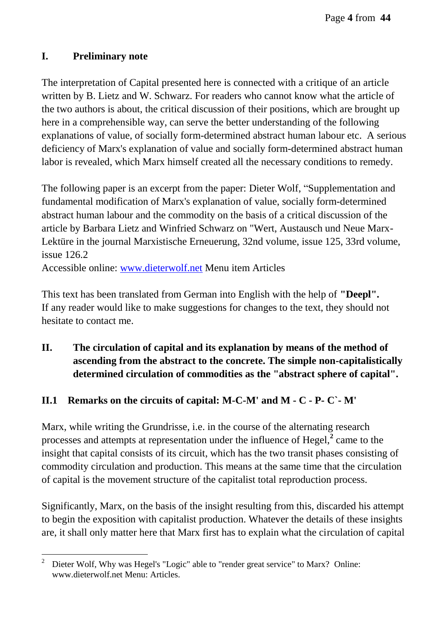### **I. Preliminary note**

The interpretation of Capital presented here is connected with a critique of an article written by B. Lietz and W. Schwarz. For readers who cannot know what the article of the two authors is about, the critical discussion of their positions, which are brought up here in a comprehensible way, can serve the better understanding of the following explanations of value, of socially form-determined abstract human labour etc. A serious deficiency of Marx's explanation of value and socially form-determined abstract human labor is revealed, which Marx himself created all the necessary conditions to remedy.

The following paper is an excerpt from the paper: Dieter Wolf, "Supplementation and fundamental modification of Marx's explanation of value, socially form-determined abstract human labour and the commodity on the basis of a critical discussion of the article by Barbara Lietz and Winfried Schwarz on "Wert, Austausch und Neue Marx-Lektüre in the journal Marxistische Erneuerung, 32nd volume, issue 125, 33rd volume, issue 126.2

Accessible online: [www.dieterwolf.net](http://www.dieterwolf.net/) Menu item Articles

This text has been translated from German into English with the help of **"Deepl".** If any reader would like to make suggestions for changes to the text, they should not hesitate to contact me.

**II. The circulation of capital and its explanation by means of the method of ascending from the abstract to the concrete. The simple non-capitalistically determined circulation of commodities as the "abstract sphere of capital".**

## **II.1 Remarks on the circuits of capital: M-C-M' and M - C - P- C`- M'**

Marx, while writing the Grundrisse, i.e. in the course of the alternating research processes and attempts at representation under the influence of Hegel,<sup>2</sup> came to the insight that capital consists of its circuit, which has the two transit phases consisting of commodity circulation and production. This means at the same time that the circulation of capital is the movement structure of the capitalist total reproduction process.

Significantly, Marx, on the basis of the insight resulting from this, discarded his attempt to begin the exposition with capitalist production. Whatever the details of these insights are, it shall only matter here that Marx first has to explain what the circulation of capital

 $\overline{a}$ <sup>2</sup> Dieter Wolf, Why was Hegel's "Logic" able to "render great service" to Marx? Online: www.dieterwolf.net Menu: Articles.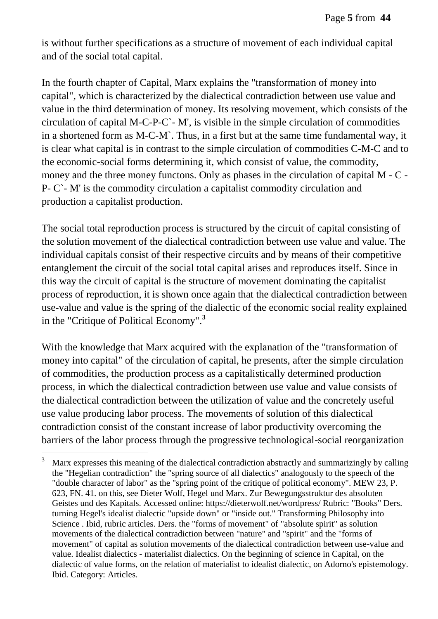is without further specifications as a structure of movement of each individual capital and of the social total capital.

In the fourth chapter of Capital, Marx explains the "transformation of money into capital", which is characterized by the dialectical contradiction between use value and value in the third determination of money. Its resolving movement, which consists of the circulation of capital M-C-P-C`- M', is visible in the simple circulation of commodities in a shortened form as M-C-M`. Thus, in a first but at the same time fundamental way, it is clear what capital is in contrast to the simple circulation of commodities C-M-C and to the economic-social forms determining it, which consist of value, the commodity, money and the three money functons. Only as phases in the circulation of capital M - C - P- C`- M' is the commodity circulation a capitalist commodity circulation and production a capitalist production.

The social total reproduction process is structured by the circuit of capital consisting of the solution movement of the dialectical contradiction between use value and value. The individual capitals consist of their respective circuits and by means of their competitive entanglement the circuit of the social total capital arises and reproduces itself. Since in this way the circuit of capital is the structure of movement dominating the capitalist process of reproduction, it is shown once again that the dialectical contradiction between use-value and value is the spring of the dialectic of the economic social reality explained in the "Critique of Political Economy".**<sup>3</sup>**

With the knowledge that Marx acquired with the explanation of the "transformation of money into capital" of the circulation of capital, he presents, after the simple circulation of commodities, the production process as a capitalistically determined production process, in which the dialectical contradiction between use value and value consists of the dialectical contradiction between the utilization of value and the concretely useful use value producing labor process. The movements of solution of this dialectical contradiction consist of the constant increase of labor productivity overcoming the barriers of the labor process through the progressive technological-social reorganization

<sup>3</sup> Marx expresses this meaning of the dialectical contradiction abstractly and summarizingly by calling the "Hegelian contradiction" the "spring source of all dialectics" analogously to the speech of the "double character of labor" as the "spring point of the critique of political economy". MEW 23, P. 623, FN. 41. on this, see Dieter Wolf, Hegel und Marx. Zur Bewegungsstruktur des absoluten Geistes und des Kapitals. Accessed online: https://dieterwolf.net/wordpress/ Rubric: "Books" Ders. turning Hegel's idealist dialectic "upside down" or "inside out." Transforming Philosophy into Science . Ibid, rubric articles. Ders. the "forms of movement" of "absolute spirit" as solution movements of the dialectical contradiction between "nature" and "spirit" and the "forms of movement" of capital as solution movements of the dialectical contradiction between use-value and value. Idealist dialectics - materialist dialectics. On the beginning of science in Capital, on the dialectic of value forms, on the relation of materialist to idealist dialectic, on Adorno's epistemology. Ibid. Category: Articles.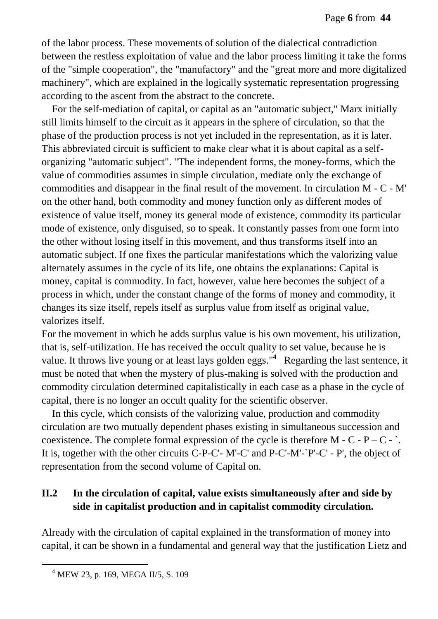of the labor process. These movements of solution of the dialectical contradiction between the restless exploitation of value and the labor process limiting it take the forms of the "simple cooperation", the "manufactory" and the "great more and more digitalized machinery", which are explained in the logically systematic representation progressing according to the ascent from the abstract to the concrete.

For the self-mediation of capital, or capital as an "automatic subject," Marx initially still limits himself to the circuit as it appears in the sphere of circulation, so that the phase of the production process is not yet included in the representation, as it is later. This abbreviated circuit is sufficient to make clear what it is about capital as a selforganizing "automatic subject". "The independent forms, the money-forms, which the value of commodities assumes in simple circulation, mediate only the exchange of commodities and disappear in the final result of the movement. In circulation M - C - M' on the other hand, both commodity and money function only as different modes of existence of value itself, money its general mode of existence, commodity its particular mode of existence, only disguised, so to speak. It constantly passes from one form into the other without losing itself in this movement, and thus transforms itself into an automatic subject. If one fixes the particular manifestations which the valorizing value alternately assumes in the cycle of its life, one obtains the explanations: Capital is money, capital is commodity. In fact, however, value here becomes the subject of a process in which, under the constant change of the forms of money and commodity, it changes its size itself, repels itself as surplus value from itself as original value, valorizes itself.

For the movement in which he adds surplus value is his own movement, his utilization, that is, self-utilization. He has received the occult quality to set value, because he is value. It throws live young or at least lays golden eggs."<sup>4</sup> Regarding the last sentence, it must be noted that when the mystery of plus-making is solved with the production and commodity circulation determined capitalistically in each case as a phase in the cycle of capital, there is no longer an occult quality for the scientific observer.

In this cycle, which consists of the valorizing value, production and commodity circulation are two mutually dependent phases existing in simultaneous succession and coexistence. The complete formal expression of the cycle is therefore  $M - C - P - C -$ . It is, together with the other circuits C-P-C'- M'-C' and P-C'-M'-`P'-C' - P', the object of representation from the second volume of Capital on.

## **II.2 In the circulation of capital, value exists simultaneously after and side by side in capitalist production and in capitalist commodity circulation.**

Already with the circulation of capital explained in the transformation of money into capital, it can be shown in a fundamental and general way that the justification Lietz and

<sup>4</sup> MEW 23, p. 169, MEGA II/5, S. 109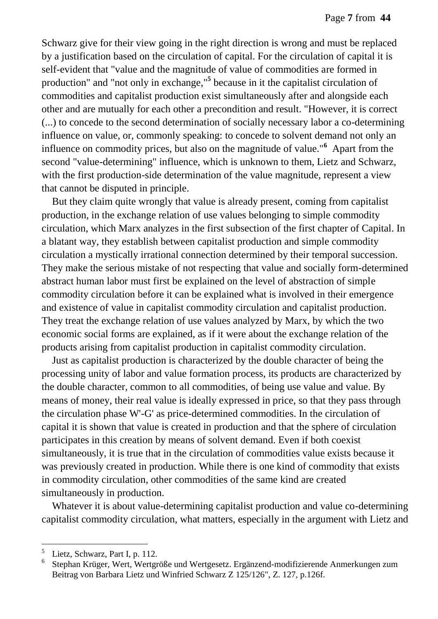Schwarz give for their view going in the right direction is wrong and must be replaced by a justification based on the circulation of capital. For the circulation of capital it is self-evident that "value and the magnitude of value of commodities are formed in production" and "not only in exchange,"**<sup>5</sup>** because in it the capitalist circulation of commodities and capitalist production exist simultaneously after and alongside each other and are mutually for each other a precondition and result. "However, it is correct (...) to concede to the second determination of socially necessary labor a co-determining influence on value, or, commonly speaking: to concede to solvent demand not only an influence on commodity prices, but also on the magnitude of value."<sup>6</sup> Apart from the second "value-determining" influence, which is unknown to them, Lietz and Schwarz, with the first production-side determination of the value magnitude, represent a view that cannot be disputed in principle.

But they claim quite wrongly that value is already present, coming from capitalist production, in the exchange relation of use values belonging to simple commodity circulation, which Marx analyzes in the first subsection of the first chapter of Capital. In a blatant way, they establish between capitalist production and simple commodity circulation a mystically irrational connection determined by their temporal succession. They make the serious mistake of not respecting that value and socially form-determined abstract human labor must first be explained on the level of abstraction of simple commodity circulation before it can be explained what is involved in their emergence and existence of value in capitalist commodity circulation and capitalist production. They treat the exchange relation of use values analyzed by Marx, by which the two economic social forms are explained, as if it were about the exchange relation of the products arising from capitalist production in capitalist commodity circulation.

Just as capitalist production is characterized by the double character of being the processing unity of labor and value formation process, its products are characterized by the double character, common to all commodities, of being use value and value. By means of money, their real value is ideally expressed in price, so that they pass through the circulation phase W'-G' as price-determined commodities. In the circulation of capital it is shown that value is created in production and that the sphere of circulation participates in this creation by means of solvent demand. Even if both coexist simultaneously, it is true that in the circulation of commodities value exists because it was previously created in production. While there is one kind of commodity that exists in commodity circulation, other commodities of the same kind are created simultaneously in production.

Whatever it is about value-determining capitalist production and value co-determining capitalist commodity circulation, what matters, especially in the argument with Lietz and

<sup>5</sup> Lietz, Schwarz, Part I, p. 112.

<sup>6</sup> Stephan Krüger, Wert, Wertgröße und Wertgesetz. Ergänzend-modifizierende Anmerkungen zum Beitrag von Barbara Lietz und Winfried Schwarz Z 125/126", Z. 127, p.126f.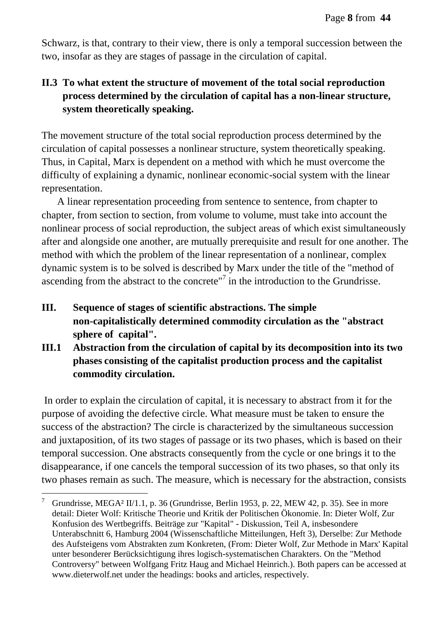Schwarz, is that, contrary to their view, there is only a temporal succession between the two, insofar as they are stages of passage in the circulation of capital.

## **II.3 To what extent the structure of movement of the total social reproduction process determined by the circulation of capital has a non-linear structure, system theoretically speaking.**

The movement structure of the total social reproduction process determined by the circulation of capital possesses a nonlinear structure, system theoretically speaking. Thus, in Capital, Marx is dependent on a method with which he must overcome the difficulty of explaining a dynamic, nonlinear economic-social system with the linear representation.

 A linear representation proceeding from sentence to sentence, from chapter to chapter, from section to section, from volume to volume, must take into account the nonlinear process of social reproduction, the subject areas of which exist simultaneously after and alongside one another, are mutually prerequisite and result for one another. The method with which the problem of the linear representation of a nonlinear, complex dynamic system is to be solved is described by Marx under the title of the "method of ascending from the abstract to the concrete" $7$  in the introduction to the Grundrisse.

- **III. Sequence of stages of scientific abstractions. The simple non-capitalistically determined commodity circulation as the "abstract sphere of capital".**
- **III.1 Abstraction from the circulation of capital by its decomposition into its two phases consisting of the capitalist production process and the capitalist commodity circulation.**

In order to explain the circulation of capital, it is necessary to abstract from it for the purpose of avoiding the defective circle. What measure must be taken to ensure the success of the abstraction? The circle is characterized by the simultaneous succession and juxtaposition, of its two stages of passage or its two phases, which is based on their temporal succession. One abstracts consequently from the cycle or one brings it to the disappearance, if one cancels the temporal succession of its two phases, so that only its two phases remain as such. The measure, which is necessary for the abstraction, consists

<sup>&</sup>lt;sup>7</sup> Grundrisse, MEGA<sup>2</sup> II/1.1, p. 36 (Grundrisse, Berlin 1953, p. 22, MEW 42, p. 35). See in more detail: Dieter Wolf: Kritische Theorie und Kritik der Politischen Ökonomie. In: Dieter Wolf, Zur Konfusion des Wertbegriffs. Beiträge zur "Kapital" - Diskussion, Teil A, insbesondere Unterabschnitt 6, Hamburg 2004 (Wissenschaftliche Mitteilungen, Heft 3), Derselbe: Zur Methode des Aufsteigens vom Abstrakten zum Konkreten, (From: Dieter Wolf, Zur Methode in Marx' Kapital unter besonderer Berücksichtigung ihres logisch-systematischen Charakters. On the "Method Controversy" between Wolfgang Fritz Haug and Michael Heinrich.). Both papers can be accessed at www.dieterwolf.net under the headings: books and articles, respectively.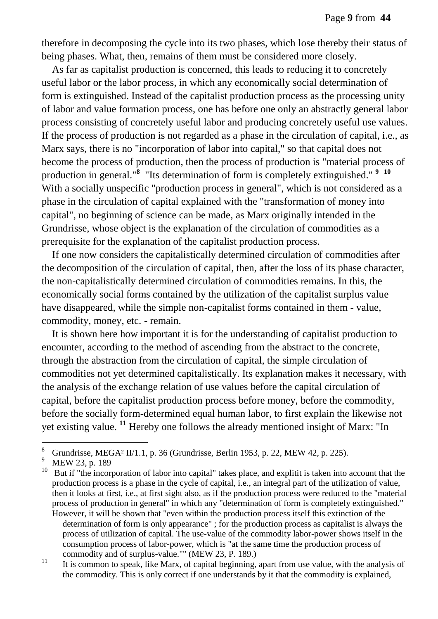therefore in decomposing the cycle into its two phases, which lose thereby their status of being phases. What, then, remains of them must be considered more closely.

As far as capitalist production is concerned, this leads to reducing it to concretely useful labor or the labor process, in which any economically social determination of form is extinguished. Instead of the capitalist production process as the processing unity of labor and value formation process, one has before one only an abstractly general labor process consisting of concretely useful labor and producing concretely useful use values. If the process of production is not regarded as a phase in the circulation of capital, i.e., as Marx says, there is no "incorporation of labor into capital," so that capital does not become the process of production, then the process of production is "material process of production in general."<sup>8</sup> "Its determination of form is completely extinguished." <sup>9</sup> <sup>10</sup> With a socially unspecific "production process in general", which is not considered as a phase in the circulation of capital explained with the "transformation of money into capital", no beginning of science can be made, as Marx originally intended in the Grundrisse, whose object is the explanation of the circulation of commodities as a prerequisite for the explanation of the capitalist production process.

If one now considers the capitalistically determined circulation of commodities after the decomposition of the circulation of capital, then, after the loss of its phase character, the non-capitalistically determined circulation of commodities remains. In this, the economically social forms contained by the utilization of the capitalist surplus value have disappeared, while the simple non-capitalist forms contained in them - value, commodity, money, etc. - remain.

It is shown here how important it is for the understanding of capitalist production to encounter, according to the method of ascending from the abstract to the concrete, through the abstraction from the circulation of capital, the simple circulation of commodities not yet determined capitalistically. Its explanation makes it necessary, with the analysis of the exchange relation of use values before the capital circulation of capital, before the capitalist production process before money, before the commodity, before the socially form-determined equal human labor, to first explain the likewise not yet existing value. **<sup>11</sup>** Hereby one follows the already mentioned insight of Marx: "In

<sup>&</sup>lt;sup>8</sup> Grundrisse, MEGA<sup>2</sup> II/1.1, p. 36 (Grundrisse, Berlin 1953, p. 22, MEW 42, p. 225).

MEW 23, p. 189

<sup>&</sup>lt;sup>10</sup> But if "the incorporation of labor into capital" takes place, and explitit is taken into account that the production process is a phase in the cycle of capital, i.e., an integral part of the utilization of value, then it looks at first, i.e., at first sight also, as if the production process were reduced to the "material process of production in general" in which any "determination of form is completely extinguished." However, it will be shown that "even within the production process itself this extinction of the determination of form is only appearance" ; for the production process as capitalist is always the process of utilization of capital. The use-value of the commodity labor-power shows itself in the consumption process of labor-power, which is "at the same time the production process of commodity and of surplus-value."" (MEW 23, P. 189.)

 $11$  It is common to speak, like Marx, of capital beginning, apart from use value, with the analysis of the commodity. This is only correct if one understands by it that the commodity is explained,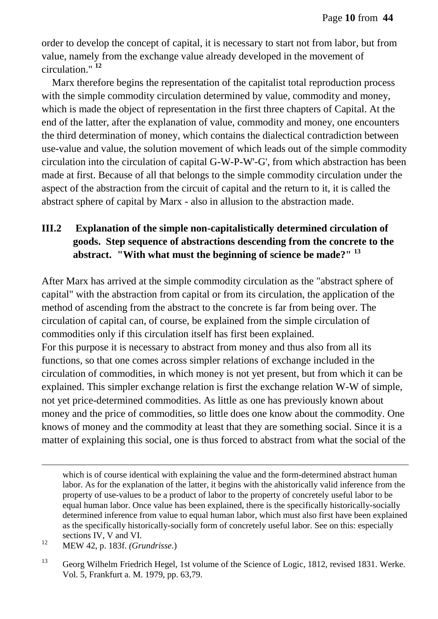order to develop the concept of capital, it is necessary to start not from labor, but from value, namely from the exchange value already developed in the movement of circulation." **<sup>12</sup>**

Marx therefore begins the representation of the capitalist total reproduction process with the simple commodity circulation determined by value, commodity and money, which is made the object of representation in the first three chapters of Capital. At the end of the latter, after the explanation of value, commodity and money, one encounters the third determination of money, which contains the dialectical contradiction between use-value and value, the solution movement of which leads out of the simple commodity circulation into the circulation of capital G-W-P-W'-G', from which abstraction has been made at first. Because of all that belongs to the simple commodity circulation under the aspect of the abstraction from the circuit of capital and the return to it, it is called the abstract sphere of capital by Marx - also in allusion to the abstraction made.

## **III.2 Explanation of the simple non-capitalistically determined circulation of goods. Step sequence of abstractions descending from the concrete to the abstract. "With what must the beginning of science be made?" <sup>13</sup>**

After Marx has arrived at the simple commodity circulation as the "abstract sphere of capital" with the abstraction from capital or from its circulation, the application of the method of ascending from the abstract to the concrete is far from being over. The circulation of capital can, of course, be explained from the simple circulation of commodities only if this circulation itself has first been explained. For this purpose it is necessary to abstract from money and thus also from all its functions, so that one comes across simpler relations of exchange included in the circulation of commodities, in which money is not yet present, but from which it can be explained. This simpler exchange relation is first the exchange relation W-W of simple, not yet price-determined commodities. As little as one has previously known about money and the price of commodities, so little does one know about the commodity. One knows of money and the commodity at least that they are something social. Since it is a matter of explaining this social, one is thus forced to abstract from what the social of the

which is of course identical with explaining the value and the form-determined abstract human labor. As for the explanation of the latter, it begins with the ahistorically valid inference from the property of use-values to be a product of labor to the property of concretely useful labor to be equal human labor. Once value has been explained, there is the specifically historically-socially determined inference from value to equal human labor, which must also first have been explained as the specifically historically-socially form of concretely useful labor. See on this: especially sections IV, V and VI.

<sup>12</sup> MEW 42, p. 183f. *(Grundrisse*.)

<sup>&</sup>lt;sup>13</sup> Georg Wilhelm Friedrich Hegel, 1st volume of the Science of Logic, 1812, revised 1831. Werke. Vol. 5, Frankfurt a. M. 1979, pp. 63,79.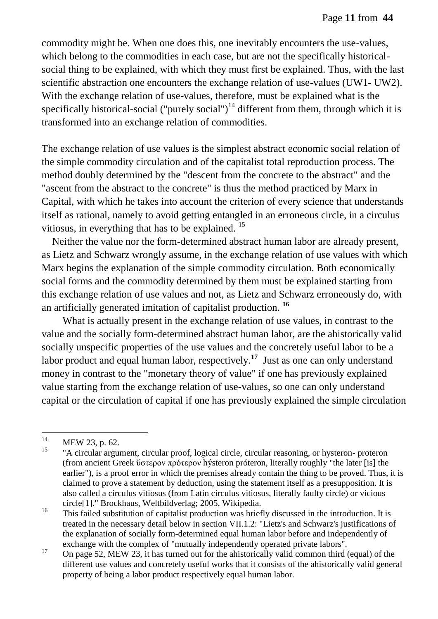commodity might be. When one does this, one inevitably encounters the use-values, which belong to the commodities in each case, but are not the specifically historicalsocial thing to be explained, with which they must first be explained. Thus, with the last scientific abstraction one encounters the exchange relation of use-values (UW1- UW2). With the exchange relation of use-values, therefore, must be explained what is the specifically historical-social ("purely social")<sup>14</sup> different from them, through which it is transformed into an exchange relation of commodities.

The exchange relation of use values is the simplest abstract economic social relation of the simple commodity circulation and of the capitalist total reproduction process. The method doubly determined by the "descent from the concrete to the abstract" and the "ascent from the abstract to the concrete" is thus the method practiced by Marx in Capital, with which he takes into account the criterion of every science that understands itself as rational, namely to avoid getting entangled in an erroneous circle, in a circulus vitiosus, in everything that has to be explained. <sup>15</sup>

Neither the value nor the form-determined abstract human labor are already present, as Lietz and Schwarz wrongly assume, in the exchange relation of use values with which Marx begins the explanation of the simple commodity circulation. Both economically social forms and the commodity determined by them must be explained starting from this exchange relation of use values and not, as Lietz and Schwarz erroneously do, with an artificially generated imitation of capitalist production. **<sup>16</sup>**

What is actually present in the exchange relation of use values, in contrast to the value and the socially form-determined abstract human labor, are the ahistorically valid socially unspecific properties of the use values and the concretely useful labor to be a labor product and equal human labor, respectively.**<sup>17</sup>** Just as one can only understand money in contrast to the "monetary theory of value" if one has previously explained value starting from the exchange relation of use-values, so one can only understand capital or the circulation of capital if one has previously explained the simple circulation

 $14$  $14$  MEW 23, p. 62.

<sup>&</sup>quot;A circular argument, circular proof, logical circle, circular reasoning, or hysteron- proteron (from ancient Greek ὕστερον πρότερον hýsteron próteron, literally roughly "the later [is] the earlier"), is a proof error in which the premises already contain the thing to be proved. Thus, it is claimed to prove a statement by deduction, using the statement itself as a presupposition. It is also called a circulus vitiosus (from Latin circulus vitiosus, literally faulty circle) or vicious circle[1]." Brockhaus, Weltbildverlag; 2005, Wikipedia.

<sup>&</sup>lt;sup>16</sup> This failed substitution of capitalist production was briefly discussed in the introduction. It is treated in the necessary detail below in section VII.1.2: "Lietz's and Schwarz's justifications of the explanation of socially form-determined equal human labor before and independently of exchange with the complex of "mutually independently operated private labors".

<sup>&</sup>lt;sup>17</sup> On page 52, MEW 23, it has turned out for the ahistorically valid common third (equal) of the different use values and concretely useful works that it consists of the ahistorically valid general property of being a labor product respectively equal human labor.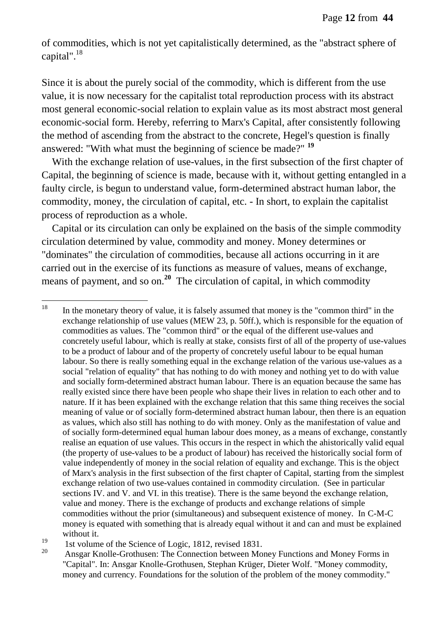of commodities, which is not yet capitalistically determined, as the "abstract sphere of capital".<sup>18</sup>

Since it is about the purely social of the commodity, which is different from the use value, it is now necessary for the capitalist total reproduction process with its abstract most general economic-social relation to explain value as its most abstract most general economic-social form. Hereby, referring to Marx's Capital, after consistently following the method of ascending from the abstract to the concrete, Hegel's question is finally answered: "With what must the beginning of science be made?" **<sup>19</sup>**

With the exchange relation of use-values, in the first subsection of the first chapter of Capital, the beginning of science is made, because with it, without getting entangled in a faulty circle, is begun to understand value, form-determined abstract human labor, the commodity, money, the circulation of capital, etc. - In short, to explain the capitalist process of reproduction as a whole.

Capital or its circulation can only be explained on the basis of the simple commodity circulation determined by value, commodity and money. Money determines or "dominates" the circulation of commodities, because all actions occurring in it are carried out in the exercise of its functions as measure of values, means of exchange, means of payment, and so on.<sup>20</sup> The circulation of capital, in which commodity

<sup>18</sup> In the monetary theory of value, it is falsely assumed that money is the "common third" in the exchange relationship of use values (MEW 23, p. 50ff.), which is responsible for the equation of commodities as values. The "common third" or the equal of the different use-values and concretely useful labour, which is really at stake, consists first of all of the property of use-values to be a product of labour and of the property of concretely useful labour to be equal human labour. So there is really something equal in the exchange relation of the various use-values as a social "relation of equality" that has nothing to do with money and nothing yet to do with value and socially form-determined abstract human labour. There is an equation because the same has really existed since there have been people who shape their lives in relation to each other and to nature. If it has been explained with the exchange relation that this same thing receives the social meaning of value or of socially form-determined abstract human labour, then there is an equation as values, which also still has nothing to do with money. Only as the manifestation of value and of socially form-determined equal human labour does money, as a means of exchange, constantly realise an equation of use values. This occurs in the respect in which the ahistorically valid equal (the property of use-values to be a product of labour) has received the historically social form of value independently of money in the social relation of equality and exchange. This is the object of Marx's analysis in the first subsection of the first chapter of Capital, starting from the simplest exchange relation of two use-values contained in commodity circulation. (See in particular sections IV. and V. and VI. in this treatise). There is the same beyond the exchange relation, value and money. There is the exchange of products and exchange relations of simple commodities without the prior (simultaneous) and subsequent existence of money. In C-M-C money is equated with something that is already equal without it and can and must be explained without it.

<sup>&</sup>lt;sup>19</sup> 1st volume of the Science of Logic, 1812, revised 1831.

Ansgar Knolle-Grothusen: The Connection between Money Functions and Money Forms in "Capital". In: Ansgar Knolle-Grothusen, Stephan Krüger, Dieter Wolf. "Money commodity, money and currency. Foundations for the solution of the problem of the money commodity."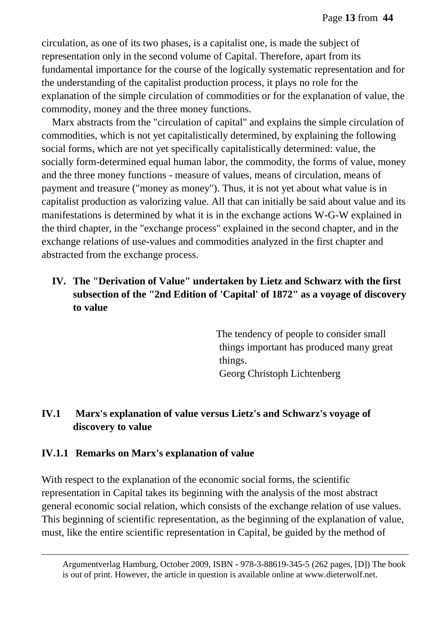circulation, as one of its two phases, is a capitalist one, is made the subject of representation only in the second volume of Capital. Therefore, apart from its fundamental importance for the course of the logically systematic representation and for the understanding of the capitalist production process, it plays no role for the explanation of the simple circulation of commodities or for the explanation of value, the commodity, money and the three money functions.

Marx abstracts from the "circulation of capital" and explains the simple circulation of commodities, which is not yet capitalistically determined, by explaining the following social forms, which are not yet specifically capitalistically determined: value, the socially form-determined equal human labor, the commodity, the forms of value, money and the three money functions - measure of values, means of circulation, means of payment and treasure ("money as money"). Thus, it is not yet about what value is in capitalist production as valorizing value. All that can initially be said about value and its manifestations is determined by what it is in the exchange actions W-G-W explained in the third chapter, in the "exchange process" explained in the second chapter, and in the exchange relations of use-values and commodities analyzed in the first chapter and abstracted from the exchange process.

## **IV. The "Derivation of Value" undertaken by Lietz and Schwarz with the first subsection of the "2nd Edition of 'Capital' of 1872" as a voyage of discovery to value**

 The tendency of people to consider small things important has produced many great things. Georg Christoph Lichtenberg

### **IV.1 Marx's explanation of value versus Lietz's and Schwarz's voyage of discovery to value**

#### **IV.1.1 Remarks on Marx's explanation of value**

 $\overline{a}$ 

With respect to the explanation of the economic social forms, the scientific representation in Capital takes its beginning with the analysis of the most abstract general economic social relation, which consists of the exchange relation of use values. This beginning of scientific representation, as the beginning of the explanation of value, must, like the entire scientific representation in Capital, be guided by the method of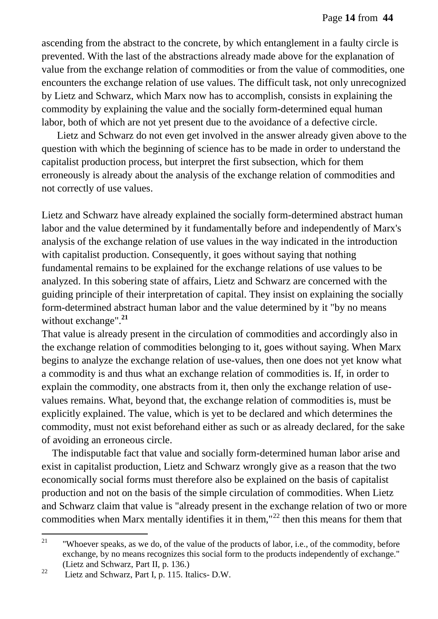ascending from the abstract to the concrete, by which entanglement in a faulty circle is prevented. With the last of the abstractions already made above for the explanation of value from the exchange relation of commodities or from the value of commodities, one encounters the exchange relation of use values. The difficult task, not only unrecognized by Lietz and Schwarz, which Marx now has to accomplish, consists in explaining the commodity by explaining the value and the socially form-determined equal human labor, both of which are not yet present due to the avoidance of a defective circle.

 Lietz and Schwarz do not even get involved in the answer already given above to the question with which the beginning of science has to be made in order to understand the capitalist production process, but interpret the first subsection, which for them erroneously is already about the analysis of the exchange relation of commodities and not correctly of use values.

Lietz and Schwarz have already explained the socially form-determined abstract human labor and the value determined by it fundamentally before and independently of Marx's analysis of the exchange relation of use values in the way indicated in the introduction with capitalist production. Consequently, it goes without saying that nothing fundamental remains to be explained for the exchange relations of use values to be analyzed. In this sobering state of affairs, Lietz and Schwarz are concerned with the guiding principle of their interpretation of capital. They insist on explaining the socially form-determined abstract human labor and the value determined by it "by no means without exchange".**<sup>21</sup>**

That value is already present in the circulation of commodities and accordingly also in the exchange relation of commodities belonging to it, goes without saying. When Marx begins to analyze the exchange relation of use-values, then one does not yet know what a commodity is and thus what an exchange relation of commodities is. If, in order to explain the commodity, one abstracts from it, then only the exchange relation of usevalues remains. What, beyond that, the exchange relation of commodities is, must be explicitly explained. The value, which is yet to be declared and which determines the commodity, must not exist beforehand either as such or as already declared, for the sake of avoiding an erroneous circle.

The indisputable fact that value and socially form-determined human labor arise and exist in capitalist production, Lietz and Schwarz wrongly give as a reason that the two economically social forms must therefore also be explained on the basis of capitalist production and not on the basis of the simple circulation of commodities. When Lietz and Schwarz claim that value is "already present in the exchange relation of two or more commodities when Marx mentally identifies it in them," $^{22}$  then this means for them that

 $21\,$ "Whoever speaks, as we do, of the value of the products of labor, i.e., of the commodity, before exchange, by no means recognizes this social form to the products independently of exchange." (Lietz and Schwarz, Part II, p. 136.)

 $22$  Lietz and Schwarz, Part I, p. 115. Italics- D.W.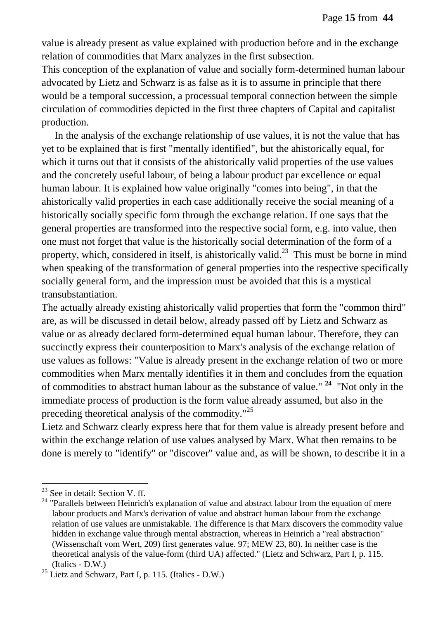value is already present as value explained with production before and in the exchange relation of commodities that Marx analyzes in the first subsection.

This conception of the explanation of value and socially form-determined human labour advocated by Lietz and Schwarz is as false as it is to assume in principle that there would be a temporal succession, a processual temporal connection between the simple circulation of commodities depicted in the first three chapters of Capital and capitalist production.

In the analysis of the exchange relationship of use values, it is not the value that has yet to be explained that is first "mentally identified", but the ahistorically equal, for which it turns out that it consists of the ahistorically valid properties of the use values and the concretely useful labour, of being a labour product par excellence or equal human labour. It is explained how value originally "comes into being", in that the ahistorically valid properties in each case additionally receive the social meaning of a historically socially specific form through the exchange relation. If one says that the general properties are transformed into the respective social form, e.g. into value, then one must not forget that value is the historically social determination of the form of a property, which, considered in itself, is ahistorically valid.<sup>23</sup> This must be borne in mind when speaking of the transformation of general properties into the respective specifically socially general form, and the impression must be avoided that this is a mystical transubstantiation.

The actually already existing ahistorically valid properties that form the "common third" are, as will be discussed in detail below, already passed off by Lietz and Schwarz as value or as already declared form-determined equal human labour. Therefore, they can succinctly express their counterposition to Marx's analysis of the exchange relation of use values as follows: "Value is already present in the exchange relation of two or more commodities when Marx mentally identifies it in them and concludes from the equation of commodities to abstract human labour as the substance of value." **<sup>24</sup>** "Not only in the immediate process of production is the form value already assumed, but also in the preceding theoretical analysis of the commodity."<sup>25</sup>

Lietz and Schwarz clearly express here that for them value is already present before and within the exchange relation of use values analysed by Marx. What then remains to be done is merely to "identify" or "discover" value and, as will be shown, to describe it in a

 $23$  See in detail: Section V. ff.

<sup>&</sup>lt;sup>24</sup> "Parallels between Heinrich's explanation of value and abstract labour from the equation of mere labour products and Marx's derivation of value and abstract human labour from the exchange relation of use values are unmistakable. The difference is that Marx discovers the commodity value hidden in exchange value through mental abstraction, whereas in Heinrich a "real abstraction" (Wissenschaft vom Wert, 209) first generates value. 97; MEW 23, 80). In neither case is the theoretical analysis of the value-form (third UA) affected." (Lietz and Schwarz, Part I, p. 115. (Italics - D.W.)

<sup>&</sup>lt;sup>25</sup> Lietz and Schwarz, Part I, p. 115. (Italics - D.W.)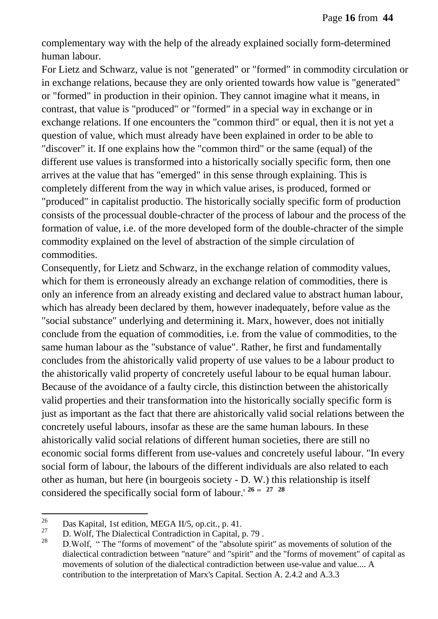complementary way with the help of the already explained socially form-determined human labour.

For Lietz and Schwarz, value is not "generated" or "formed" in commodity circulation or in exchange relations, because they are only oriented towards how value is "generated" or "formed" in production in their opinion. They cannot imagine what it means, in contrast, that value is "produced" or "formed" in a special way in exchange or in exchange relations. If one encounters the "common third" or equal, then it is not yet a question of value, which must already have been explained in order to be able to "discover" it. If one explains how the "common third" or the same (equal) of the different use values is transformed into a historically socially specific form, then one arrives at the value that has "emerged" in this sense through explaining. This is completely different from the way in which value arises, is produced, formed or "produced" in capitalist productio. The historically socially specific form of production consists of the processual double-chracter of the process of labour and the process of the formation of value, i.e. of the more developed form of the double-chracter of the simple commodity explained on the level of abstraction of the simple circulation of commodities.

Consequently, for Lietz and Schwarz, in the exchange relation of commodity values, which for them is erroneously already an exchange relation of commodities, there is only an inference from an already existing and declared value to abstract human labour, which has already been declared by them, however inadequately, before value as the "social substance" underlying and determining it. Marx, however, does not initially conclude from the equation of commodities, i.e. from the value of commodities, to the same human labour as the "substance of value". Rather, he first and fundamentally concludes from the ahistorically valid property of use values to be a labour product to the ahistorically valid property of concretely useful labour to be equal human labour. Because of the avoidance of a faulty circle, this distinction between the ahistorically valid properties and their transformation into the historically socially specific form is just as important as the fact that there are ahistorically valid social relations between the concretely useful labours, insofar as these are the same human labours. In these ahistorically valid social relations of different human societies, there are still no economic social forms different from use-values and concretely useful labour. "In every social form of labour, the labours of the different individuals are also related to each other as human, but here (in bourgeois society - D. W.) this relationship is itself considered the specifically social form of labour.' **<sup>26</sup>** " **<sup>27</sup> <sup>28</sup>**

<sup>26</sup> <sup>26</sup> Das Kapital, 1st edition, MEGA II/5, op.cit., p. 41.

<sup>&</sup>lt;sup>27</sup> D. Wolf, The Dialectical Contradiction in Capital, p. 79.

D.Wolf, " The "forms of movement" of the "absolute spirit" as movements of solution of the dialectical contradiction between "nature" and "spirit" and the "forms of movement" of capital as movements of solution of the dialectical contradiction between use-value and value.... A contribution to the interpretation of Marx's Capital. Section A. 2.4.2 and A.3.3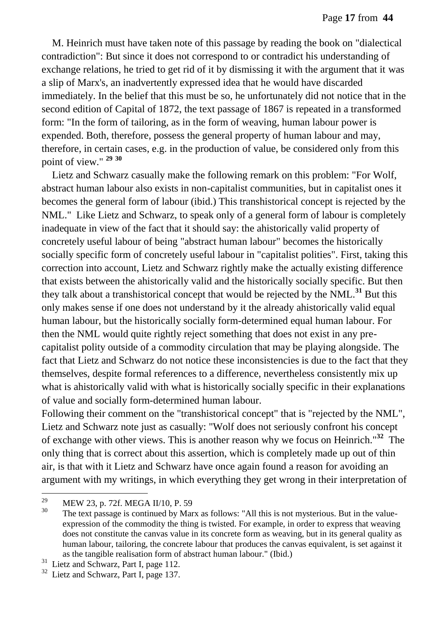M. Heinrich must have taken note of this passage by reading the book on "dialectical contradiction": But since it does not correspond to or contradict his understanding of exchange relations, he tried to get rid of it by dismissing it with the argument that it was a slip of Marx's, an inadvertently expressed idea that he would have discarded immediately. In the belief that this must be so, he unfortunately did not notice that in the second edition of Capital of 1872, the text passage of 1867 is repeated in a transformed form: "In the form of tailoring, as in the form of weaving, human labour power is expended. Both, therefore, possess the general property of human labour and may, therefore, in certain cases, e.g. in the production of value, be considered only from this point of view." **<sup>29</sup> <sup>30</sup>**

Lietz and Schwarz casually make the following remark on this problem: "For Wolf, abstract human labour also exists in non-capitalist communities, but in capitalist ones it becomes the general form of labour (ibid.) This transhistorical concept is rejected by the NML." Like Lietz and Schwarz, to speak only of a general form of labour is completely inadequate in view of the fact that it should say: the ahistorically valid property of concretely useful labour of being "abstract human labour" becomes the historically socially specific form of concretely useful labour in "capitalist polities". First, taking this correction into account, Lietz and Schwarz rightly make the actually existing difference that exists between the ahistorically valid and the historically socially specific. But then they talk about a transhistorical concept that would be rejected by the NML.**<sup>31</sup>** But this only makes sense if one does not understand by it the already ahistorically valid equal human labour, but the historically socially form-determined equal human labour. For then the NML would quite rightly reject something that does not exist in any precapitalist polity outside of a commodity circulation that may be playing alongside. The fact that Lietz and Schwarz do not notice these inconsistencies is due to the fact that they themselves, despite formal references to a difference, nevertheless consistently mix up what is ahistorically valid with what is historically socially specific in their explanations of value and socially form-determined human labour.

Following their comment on the "transhistorical concept" that is "rejected by the NML", Lietz and Schwarz note just as casually: "Wolf does not seriously confront his concept of exchange with other views. This is another reason why we focus on Heinrich."**<sup>32</sup>** The only thing that is correct about this assertion, which is completely made up out of thin air, is that with it Lietz and Schwarz have once again found a reason for avoiding an argument with my writings, in which everything they get wrong in their interpretation of

<sup>29</sup>  $^{29}$  MEW 23, p. 72f. MEGA II/10, P. 59<br>
The text pessence is continued by Mo

The text passage is continued by Marx as follows: "All this is not mysterious. But in the valueexpression of the commodity the thing is twisted. For example, in order to express that weaving does not constitute the canvas value in its concrete form as weaving, but in its general quality as human labour, tailoring, the concrete labour that produces the canvas equivalent, is set against it as the tangible realisation form of abstract human labour." (Ibid.)

<sup>&</sup>lt;sup>31</sup> Lietz and Schwarz, Part I, page 112.

<sup>&</sup>lt;sup>32</sup> Lietz and Schwarz, Part I, page 137.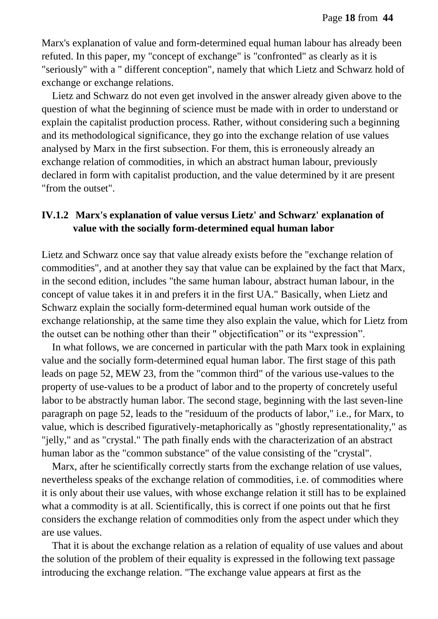Marx's explanation of value and form-determined equal human labour has already been refuted. In this paper, my "concept of exchange" is "confronted" as clearly as it is "seriously" with a " different conception", namely that which Lietz and Schwarz hold of exchange or exchange relations.

Lietz and Schwarz do not even get involved in the answer already given above to the question of what the beginning of science must be made with in order to understand or explain the capitalist production process. Rather, without considering such a beginning and its methodological significance, they go into the exchange relation of use values analysed by Marx in the first subsection. For them, this is erroneously already an exchange relation of commodities, in which an abstract human labour, previously declared in form with capitalist production, and the value determined by it are present "from the outset".

#### **IV.1.2 Marx's explanation of value versus Lietz' and Schwarz' explanation of value with the socially form-determined equal human labor**

Lietz and Schwarz once say that value already exists before the "exchange relation of commodities", and at another they say that value can be explained by the fact that Marx, in the second edition, includes "the same human labour, abstract human labour, in the concept of value takes it in and prefers it in the first UA." Basically, when Lietz and Schwarz explain the socially form-determined equal human work outside of the exchange relationship, at the same time they also explain the value, which for Lietz from the outset can be nothing other than their " objectification" or its "expression".

In what follows, we are concerned in particular with the path Marx took in explaining value and the socially form-determined equal human labor. The first stage of this path leads on page 52, MEW 23, from the "common third" of the various use-values to the property of use-values to be a product of labor and to the property of concretely useful labor to be abstractly human labor. The second stage, beginning with the last seven-line paragraph on page 52, leads to the "residuum of the products of labor," i.e., for Marx, to value, which is described figuratively-metaphorically as "ghostly representationality," as "jelly," and as "crystal." The path finally ends with the characterization of an abstract human labor as the "common substance" of the value consisting of the "crystal".

Marx, after he scientifically correctly starts from the exchange relation of use values, nevertheless speaks of the exchange relation of commodities, i.e. of commodities where it is only about their use values, with whose exchange relation it still has to be explained what a commodity is at all. Scientifically, this is correct if one points out that he first considers the exchange relation of commodities only from the aspect under which they are use values.

That it is about the exchange relation as a relation of equality of use values and about the solution of the problem of their equality is expressed in the following text passage introducing the exchange relation. "The exchange value appears at first as the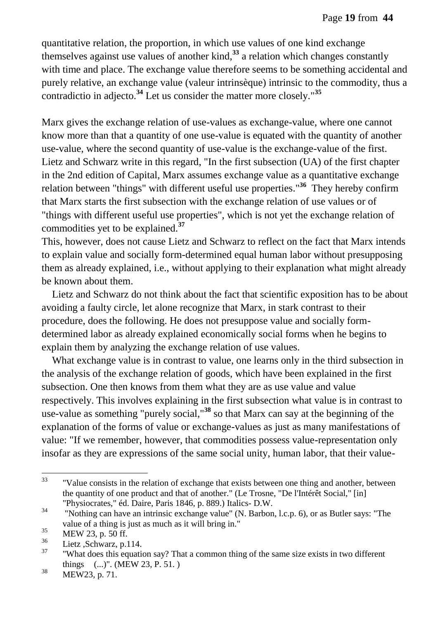quantitative relation, the proportion, in which use values of one kind exchange themselves against use values of another kind,**<sup>33</sup>** a relation which changes constantly with time and place. The exchange value therefore seems to be something accidental and purely relative, an exchange value (valeur intrinsèque) intrinsic to the commodity, thus a contradictio in adjecto.**<sup>34</sup>** Let us consider the matter more closely."**<sup>35</sup>**

Marx gives the exchange relation of use-values as exchange-value, where one cannot know more than that a quantity of one use-value is equated with the quantity of another use-value, where the second quantity of use-value is the exchange-value of the first. Lietz and Schwarz write in this regard, "In the first subsection (UA) of the first chapter in the 2nd edition of Capital, Marx assumes exchange value as a quantitative exchange relation between "things" with different useful use properties."**<sup>36</sup>** They hereby confirm that Marx starts the first subsection with the exchange relation of use values or of "things with different useful use properties", which is not yet the exchange relation of commodities yet to be explained.**<sup>37</sup>**

This, however, does not cause Lietz and Schwarz to reflect on the fact that Marx intends to explain value and socially form-determined equal human labor without presupposing them as already explained, i.e., without applying to their explanation what might already be known about them.

Lietz and Schwarz do not think about the fact that scientific exposition has to be about avoiding a faulty circle, let alone recognize that Marx, in stark contrast to their procedure, does the following. He does not presuppose value and socially formdetermined labor as already explained economically social forms when he begins to explain them by analyzing the exchange relation of use values.

What exchange value is in contrast to value, one learns only in the third subsection in the analysis of the exchange relation of goods, which have been explained in the first subsection. One then knows from them what they are as use value and value respectively. This involves explaining in the first subsection what value is in contrast to use-value as something "purely social,"**<sup>38</sup>** so that Marx can say at the beginning of the explanation of the forms of value or exchange-values as just as many manifestations of value: "If we remember, however, that commodities possess value-representation only insofar as they are expressions of the same social unity, human labor, that their value-

 $33$ "Value consists in the relation of exchange that exists between one thing and another, between the quantity of one product and that of another." (Le Trosne, "De l'Intérêt Social," [in] "Physiocrates," éd. Daire, Paris 1846, p. 889.) Italics- D.W.

 $34$  "Nothing can have an intrinsic exchange value" (N. Barbon, l.c.p. 6), or as Butler says: "The value of a thing is just as much as it will bring in."

 $\frac{35}{36}$  MEW 23, p. 50 ff.

 $rac{36}{37}$  Lietz, Schwarz, p.114.

<sup>&</sup>quot;What does this equation say? That a common thing of the same size exists in two different things (...)". (MEW 23, P. 51. )

 $38$  MEW23, p. 71.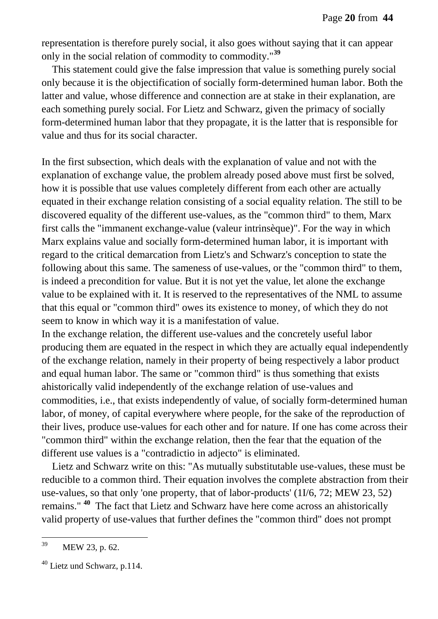representation is therefore purely social, it also goes without saying that it can appear only in the social relation of commodity to commodity."**<sup>39</sup>**

This statement could give the false impression that value is something purely social only because it is the objectification of socially form-determined human labor. Both the latter and value, whose difference and connection are at stake in their explanation, are each something purely social. For Lietz and Schwarz, given the primacy of socially form-determined human labor that they propagate, it is the latter that is responsible for value and thus for its social character.

In the first subsection, which deals with the explanation of value and not with the explanation of exchange value, the problem already posed above must first be solved, how it is possible that use values completely different from each other are actually equated in their exchange relation consisting of a social equality relation. The still to be discovered equality of the different use-values, as the "common third" to them, Marx first calls the "immanent exchange-value (valeur intrinsèque)". For the way in which Marx explains value and socially form-determined human labor, it is important with regard to the critical demarcation from Lietz's and Schwarz's conception to state the following about this same. The sameness of use-values, or the "common third" to them, is indeed a precondition for value. But it is not yet the value, let alone the exchange value to be explained with it. It is reserved to the representatives of the NML to assume that this equal or "common third" owes its existence to money, of which they do not seem to know in which way it is a manifestation of value.

In the exchange relation, the different use-values and the concretely useful labor producing them are equated in the respect in which they are actually equal independently of the exchange relation, namely in their property of being respectively a labor product and equal human labor. The same or "common third" is thus something that exists ahistorically valid independently of the exchange relation of use-values and commodities, i.e., that exists independently of value, of socially form-determined human labor, of money, of capital everywhere where people, for the sake of the reproduction of their lives, produce use-values for each other and for nature. If one has come across their "common third" within the exchange relation, then the fear that the equation of the different use values is a "contradictio in adjecto" is eliminated.

Lietz and Schwarz write on this: "As mutually substitutable use-values, these must be reducible to a common third. Their equation involves the complete abstraction from their use-values, so that only 'one property, that of labor-products' (1I/6, 72; MEW 23, 52) remains." **<sup>40</sup>** The fact that Lietz and Schwarz have here come across an ahistorically valid property of use-values that further defines the "common third" does not prompt

<sup>39</sup> MEW 23, p. 62.

<sup>40</sup> Lietz und Schwarz, p.114.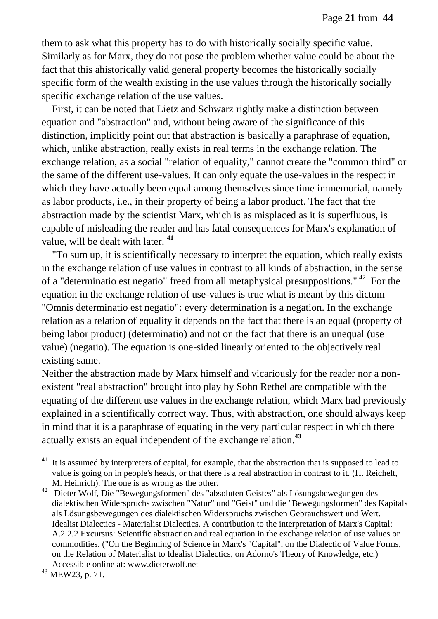them to ask what this property has to do with historically socially specific value. Similarly as for Marx, they do not pose the problem whether value could be about the fact that this ahistorically valid general property becomes the historically socially specific form of the wealth existing in the use values through the historically socially specific exchange relation of the use values.

First, it can be noted that Lietz and Schwarz rightly make a distinction between equation and "abstraction" and, without being aware of the significance of this distinction, implicitly point out that abstraction is basically a paraphrase of equation, which, unlike abstraction, really exists in real terms in the exchange relation. The exchange relation, as a social "relation of equality," cannot create the "common third" or the same of the different use-values. It can only equate the use-values in the respect in which they have actually been equal among themselves since time immemorial, namely as labor products, i.e., in their property of being a labor product. The fact that the abstraction made by the scientist Marx, which is as misplaced as it is superfluous, is capable of misleading the reader and has fatal consequences for Marx's explanation of value, will be dealt with later. <sup>41</sup>

"To sum up, it is scientifically necessary to interpret the equation, which really exists in the exchange relation of use values in contrast to all kinds of abstraction, in the sense of a "determinatio est negatio" freed from all metaphysical presuppositions." <sup>42</sup> For the equation in the exchange relation of use-values is true what is meant by this dictum "Omnis determinatio est negatio": every determination is a negation. In the exchange relation as a relation of equality it depends on the fact that there is an equal (property of being labor product) (determinatio) and not on the fact that there is an unequal (use value) (negatio). The equation is one-sided linearly oriented to the objectively real existing same.

Neither the abstraction made by Marx himself and vicariously for the reader nor a nonexistent "real abstraction" brought into play by Sohn Rethel are compatible with the equating of the different use values in the exchange relation, which Marx had previously explained in a scientifically correct way. Thus, with abstraction, one should always keep in mind that it is a paraphrase of equating in the very particular respect in which there actually exists an equal independent of the exchange relation.**<sup>43</sup>** 

 $41$  It is assumed by interpreters of capital, for example, that the abstraction that is supposed to lead to value is going on in people's heads, or that there is a real abstraction in contrast to it. (H. Reichelt, M. Heinrich). The one is as wrong as the other.

<sup>42</sup> Dieter Wolf, Die "Bewegungsformen" des "absoluten Geistes" als Lösungsbewegungen des dialektischen Widerspruchs zwischen "Natur" und "Geist" und die "Bewegungsformen" des Kapitals als Lösungsbewegungen des dialektischen Widerspruchs zwischen Gebrauchswert und Wert. Idealist Dialectics - Materialist Dialectics. A contribution to the interpretation of Marx's Capital: A.2.2.2 Excursus: Scientific abstraction and real equation in the exchange relation of use values or commodities. ("On the Beginning of Science in Marx's "Capital", on the Dialectic of Value Forms, on the Relation of Materialist to Idealist Dialectics, on Adorno's Theory of Knowledge, etc.) Accessible online at: www.dieterwolf.net

<sup>43</sup> MEW23, p. 71.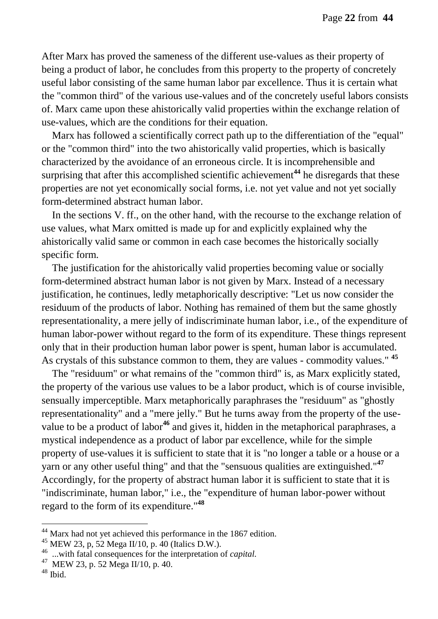After Marx has proved the sameness of the different use-values as their property of being a product of labor, he concludes from this property to the property of concretely useful labor consisting of the same human labor par excellence. Thus it is certain what the "common third" of the various use-values and of the concretely useful labors consists of. Marx came upon these ahistorically valid properties within the exchange relation of use-values, which are the conditions for their equation.

Marx has followed a scientifically correct path up to the differentiation of the "equal" or the "common third" into the two ahistorically valid properties, which is basically characterized by the avoidance of an erroneous circle. It is incomprehensible and surprising that after this accomplished scientific achievement**<sup>44</sup>** he disregards that these properties are not yet economically social forms, i.e. not yet value and not yet socially form-determined abstract human labor.

In the sections V. ff., on the other hand, with the recourse to the exchange relation of use values, what Marx omitted is made up for and explicitly explained why the ahistorically valid same or common in each case becomes the historically socially specific form.

The justification for the ahistorically valid properties becoming value or socially form-determined abstract human labor is not given by Marx. Instead of a necessary justification, he continues, ledly metaphorically descriptive: "Let us now consider the residuum of the products of labor. Nothing has remained of them but the same ghostly representationality, a mere jelly of indiscriminate human labor, i.e., of the expenditure of human labor-power without regard to the form of its expenditure. These things represent only that in their production human labor power is spent, human labor is accumulated. As crystals of this substance common to them, they are values - commodity values." **<sup>45</sup>**

The "residuum" or what remains of the "common third" is, as Marx explicitly stated, the property of the various use values to be a labor product, which is of course invisible, sensually imperceptible. Marx metaphorically paraphrases the "residuum" as "ghostly representationality" and a "mere jelly." But he turns away from the property of the usevalue to be a product of labor**<sup>46</sup>** and gives it, hidden in the metaphorical paraphrases, a mystical independence as a product of labor par excellence, while for the simple property of use-values it is sufficient to state that it is "no longer a table or a house or a yarn or any other useful thing" and that the "sensuous qualities are extinguished."**<sup>47</sup>** Accordingly, for the property of abstract human labor it is sufficient to state that it is "indiscriminate, human labor," i.e., the "expenditure of human labor-power without regard to the form of its expenditure."**<sup>48</sup>**

 $44$  Marx had not yet achieved this performance in the 1867 edition.

 $45$  MEW 23, p, 52 Mega II/10, p.  $40$  (Italics D.W.).

<sup>46</sup> ...with fatal consequences for the interpretation of *capital.*

<sup>47</sup> MEW 23, p. 52 Mega II/10, p. 40.

<sup>48</sup> Ibid.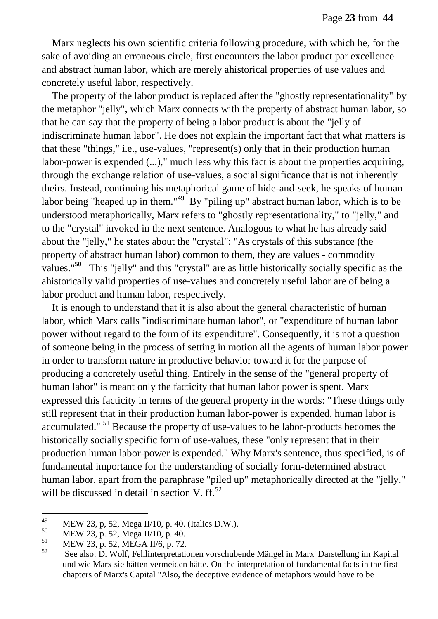Marx neglects his own scientific criteria following procedure, with which he, for the sake of avoiding an erroneous circle, first encounters the labor product par excellence and abstract human labor, which are merely ahistorical properties of use values and concretely useful labor, respectively.

The property of the labor product is replaced after the "ghostly representationality" by the metaphor "jelly", which Marx connects with the property of abstract human labor, so that he can say that the property of being a labor product is about the "jelly of indiscriminate human labor". He does not explain the important fact that what matters is that these "things," i.e., use-values, "represent(s) only that in their production human labor-power is expended (...)," much less why this fact is about the properties acquiring, through the exchange relation of use-values, a social significance that is not inherently theirs. Instead, continuing his metaphorical game of hide-and-seek, he speaks of human labor being "heaped up in them."<sup>49</sup> By "piling up" abstract human labor, which is to be understood metaphorically, Marx refers to "ghostly representationality," to "jelly," and to the "crystal" invoked in the next sentence. Analogous to what he has already said about the "jelly," he states about the "crystal": "As crystals of this substance (the property of abstract human labor) common to them, they are values - commodity values."<sup>50</sup> This "jelly" and this "crystal" are as little historically socially specific as the ahistorically valid properties of use-values and concretely useful labor are of being a labor product and human labor, respectively.

It is enough to understand that it is also about the general characteristic of human labor, which Marx calls "indiscriminate human labor", or "expenditure of human labor power without regard to the form of its expenditure". Consequently, it is not a question of someone being in the process of setting in motion all the agents of human labor power in order to transform nature in productive behavior toward it for the purpose of producing a concretely useful thing. Entirely in the sense of the "general property of human labor" is meant only the facticity that human labor power is spent. Marx expressed this facticity in terms of the general property in the words: "These things only still represent that in their production human labor-power is expended, human labor is accumulated." <sup>51</sup> Because the property of use-values to be labor-products becomes the historically socially specific form of use-values, these "only represent that in their production human labor-power is expended." Why Marx's sentence, thus specified, is of fundamental importance for the understanding of socially form-determined abstract human labor, apart from the paraphrase "piled up" metaphorically directed at the "jelly," will be discussed in detail in section V.  $\text{ff}^{\text{52}}$ .

<sup>49</sup>  $^{49}$  MEW 23, p, 52, Mega II/10, p. 40. (Italics D.W.).<br>
MEW 22, p, 52, Mars II/10, p. 40.

 $^{50}$  MEW 23, p. 52, Mega II/10, p. 40.<br>51 MEW 23, p. 52, MEGA II/6, p. 72.

 $^{51}$  MEW 23, p. 52, MEGA II/6, p. 72.

<sup>52</sup> See also: D. Wolf, Fehlinterpretationen vorschubende Mängel in Marx' Darstellung im Kapital und wie Marx sie hätten vermeiden hätte. On the interpretation of fundamental facts in the first chapters of Marx's Capital "Also, the deceptive evidence of metaphors would have to be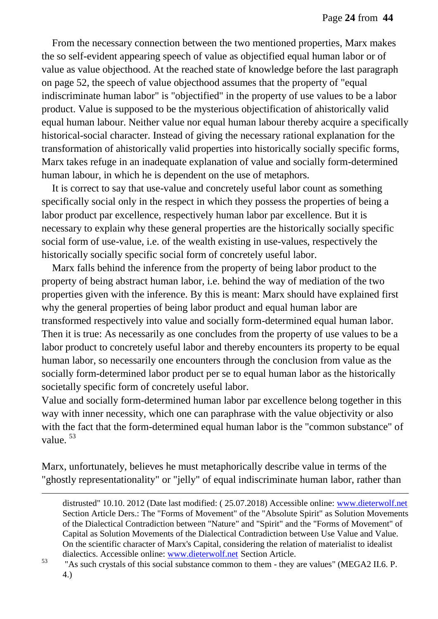From the necessary connection between the two mentioned properties, Marx makes the so self-evident appearing speech of value as objectified equal human labor or of value as value objecthood. At the reached state of knowledge before the last paragraph on page 52, the speech of value objecthood assumes that the property of "equal indiscriminate human labor" is "objectified" in the property of use values to be a labor product. Value is supposed to be the mysterious objectification of ahistorically valid equal human labour. Neither value nor equal human labour thereby acquire a specifically historical-social character. Instead of giving the necessary rational explanation for the transformation of ahistorically valid properties into historically socially specific forms, Marx takes refuge in an inadequate explanation of value and socially form-determined human labour, in which he is dependent on the use of metaphors.

It is correct to say that use-value and concretely useful labor count as something specifically social only in the respect in which they possess the properties of being a labor product par excellence, respectively human labor par excellence. But it is necessary to explain why these general properties are the historically socially specific social form of use-value, i.e. of the wealth existing in use-values, respectively the historically socially specific social form of concretely useful labor.

Marx falls behind the inference from the property of being labor product to the property of being abstract human labor, i.e. behind the way of mediation of the two properties given with the inference. By this is meant: Marx should have explained first why the general properties of being labor product and equal human labor are transformed respectively into value and socially form-determined equal human labor. Then it is true: As necessarily as one concludes from the property of use values to be a labor product to concretely useful labor and thereby encounters its property to be equal human labor, so necessarily one encounters through the conclusion from value as the socially form-determined labor product per se to equal human labor as the historically societally specific form of concretely useful labor.

Value and socially form-determined human labor par excellence belong together in this way with inner necessity, which one can paraphrase with the value objectivity or also with the fact that the form-determined equal human labor is the "common substance" of value. <sup>53</sup>

Marx, unfortunately, believes he must metaphorically describe value in terms of the "ghostly representationality" or "jelly" of equal indiscriminate human labor, rather than

distrusted" 10.10. 2012 (Date last modified: ( 25.07.2018) Accessible online: [www.dieterwolf.net](http://www.dieterwolf.net/) Section Article Ders.: The "Forms of Movement" of the "Absolute Spirit" as Solution Movements of the Dialectical Contradiction between "Nature" and "Spirit" and the "Forms of Movement" of Capital as Solution Movements of the Dialectical Contradiction between Use Value and Value. On the scientific character of Marx's Capital, considering the relation of materialist to idealist dialectics. Accessible online: [www.dieterwolf.net](http://www.dieterwolf.net/) Section Article.

<sup>&</sup>lt;sup>53</sup> "As such crystals of this social substance common to them - they are values" (MEGA2 II.6. P. 4.)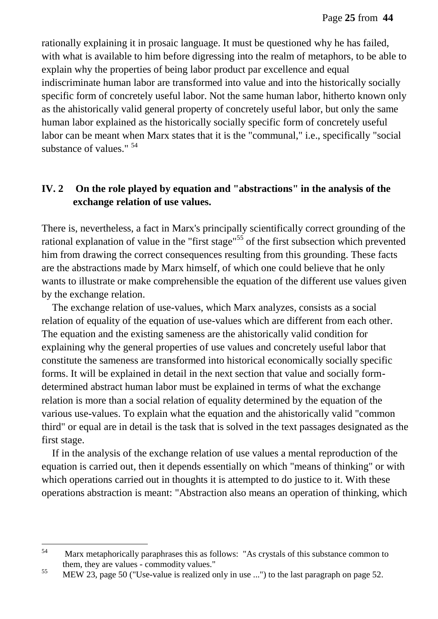rationally explaining it in prosaic language. It must be questioned why he has failed, with what is available to him before digressing into the realm of metaphors, to be able to explain why the properties of being labor product par excellence and equal indiscriminate human labor are transformed into value and into the historically socially specific form of concretely useful labor. Not the same human labor, hitherto known only as the ahistorically valid general property of concretely useful labor, but only the same human labor explained as the historically socially specific form of concretely useful labor can be meant when Marx states that it is the "communal," i.e., specifically "social substance of values." <sup>54</sup>

### **IV. 2 On the role played by equation and "abstractions" in the analysis of the exchange relation of use values.**

There is, nevertheless, a fact in Marx's principally scientifically correct grounding of the rational explanation of value in the "first stage"<sup>55</sup> of the first subsection which prevented him from drawing the correct consequences resulting from this grounding. These facts are the abstractions made by Marx himself, of which one could believe that he only wants to illustrate or make comprehensible the equation of the different use values given by the exchange relation.

The exchange relation of use-values, which Marx analyzes, consists as a social relation of equality of the equation of use-values which are different from each other. The equation and the existing sameness are the ahistorically valid condition for explaining why the general properties of use values and concretely useful labor that constitute the sameness are transformed into historical economically socially specific forms. It will be explained in detail in the next section that value and socially formdetermined abstract human labor must be explained in terms of what the exchange relation is more than a social relation of equality determined by the equation of the various use-values. To explain what the equation and the ahistorically valid "common third" or equal are in detail is the task that is solved in the text passages designated as the first stage.

If in the analysis of the exchange relation of use values a mental reproduction of the equation is carried out, then it depends essentially on which "means of thinking" or with which operations carried out in thoughts it is attempted to do justice to it. With these operations abstraction is meant: "Abstraction also means an operation of thinking, which

<sup>54</sup> Marx metaphorically paraphrases this as follows: "As crystals of this substance common to them, they are values - commodity values."

<sup>55</sup> MEW 23, page 50 ("Use-value is realized only in use ...") to the last paragraph on page 52.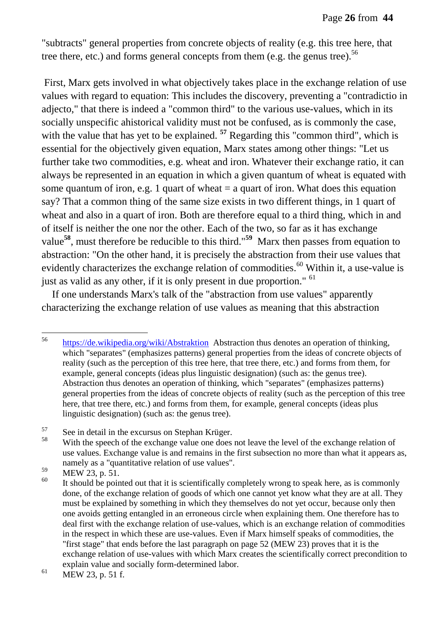"subtracts" general properties from concrete objects of reality (e.g. this tree here, that tree there, etc.) and forms general concepts from them (e.g. the genus tree).<sup>56</sup>

First, Marx gets involved in what objectively takes place in the exchange relation of use values with regard to equation: This includes the discovery, preventing a "contradictio in adjecto," that there is indeed a "common third" to the various use-values, which in its socially unspecific ahistorical validity must not be confused, as is commonly the case, with the value that has yet to be explained. <sup>57</sup> Regarding this "common third", which is essential for the objectively given equation, Marx states among other things: "Let us further take two commodities, e.g. wheat and iron. Whatever their exchange ratio, it can always be represented in an equation in which a given quantum of wheat is equated with some quantum of iron, e.g. 1 quart of wheat  $=$  a quart of iron. What does this equation say? That a common thing of the same size exists in two different things, in 1 quart of wheat and also in a quart of iron. Both are therefore equal to a third thing, which in and of itself is neither the one nor the other. Each of the two, so far as it has exchange value**<sup>58</sup>**, must therefore be reducible to this third."**<sup>59</sup>** Marx then passes from equation to abstraction: "On the other hand, it is precisely the abstraction from their use values that evidently characterizes the exchange relation of commodities.<sup>60</sup> Within it, a use-value is just as valid as any other, if it is only present in due proportion." <sup>61</sup>

If one understands Marx's talk of the "abstraction from use values" apparently characterizing the exchange relation of use values as meaning that this abstraction

<sup>56</sup> <https://de.wikipedia.org/wiki/Abstraktion>Abstraction thus denotes an operation of thinking, which "separates" (emphasizes patterns) general properties from the ideas of concrete objects of reality (such as the perception of this tree here, that tree there, etc.) and forms from them, for example, general concepts (ideas plus linguistic designation) (such as: the genus tree). Abstraction thus denotes an operation of thinking, which "separates" (emphasizes patterns) general properties from the ideas of concrete objects of reality (such as the perception of this tree here, that tree there, etc.) and forms from them, for example, general concepts (ideas plus linguistic designation) (such as: the genus tree).

 $57$  See in detail in the excursus on Stephan Krüger.<br> $58$  With the grossh of the exchange value are does

With the speech of the exchange value one does not leave the level of the exchange relation of use values. Exchange value is and remains in the first subsection no more than what it appears as, namely as a "quantitative relation of use values".

 $^{59}$  MEW 23, p. 51.

It should be pointed out that it is scientifically completely wrong to speak here, as is commonly done, of the exchange relation of goods of which one cannot yet know what they are at all. They must be explained by something in which they themselves do not yet occur, because only then one avoids getting entangled in an erroneous circle when explaining them. One therefore has to deal first with the exchange relation of use-values, which is an exchange relation of commodities in the respect in which these are use-values. Even if Marx himself speaks of commodities, the "first stage" that ends before the last paragraph on page 52 (MEW 23) proves that it is the exchange relation of use-values with which Marx creates the scientifically correct precondition to explain value and socially form-determined labor.

 $^{61}$  MEW 23, p. 51 f.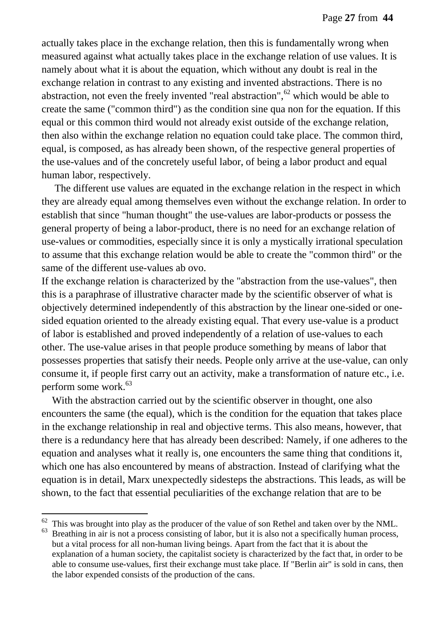actually takes place in the exchange relation, then this is fundamentally wrong when measured against what actually takes place in the exchange relation of use values. It is namely about what it is about the equation, which without any doubt is real in the exchange relation in contrast to any existing and invented abstractions. There is no abstraction, not even the freely invented "real abstraction", $62$  which would be able to create the same ("common third") as the condition sine qua non for the equation. If this equal or this common third would not already exist outside of the exchange relation, then also within the exchange relation no equation could take place. The common third, equal, is composed, as has already been shown, of the respective general properties of the use-values and of the concretely useful labor, of being a labor product and equal human labor, respectively.

The different use values are equated in the exchange relation in the respect in which they are already equal among themselves even without the exchange relation. In order to establish that since "human thought" the use-values are labor-products or possess the general property of being a labor-product, there is no need for an exchange relation of use-values or commodities, especially since it is only a mystically irrational speculation to assume that this exchange relation would be able to create the "common third" or the same of the different use-values ab ovo.

If the exchange relation is characterized by the "abstraction from the use-values", then this is a paraphrase of illustrative character made by the scientific observer of what is objectively determined independently of this abstraction by the linear one-sided or onesided equation oriented to the already existing equal. That every use-value is a product of labor is established and proved independently of a relation of use-values to each other. The use-value arises in that people produce something by means of labor that possesses properties that satisfy their needs. People only arrive at the use-value, can only consume it, if people first carry out an activity, make a transformation of nature etc., i.e. perform some work.<sup>63</sup>

With the abstraction carried out by the scientific observer in thought, one also encounters the same (the equal), which is the condition for the equation that takes place in the exchange relationship in real and objective terms. This also means, however, that there is a redundancy here that has already been described: Namely, if one adheres to the equation and analyses what it really is, one encounters the same thing that conditions it, which one has also encountered by means of abstraction. Instead of clarifying what the equation is in detail, Marx unexpectedly sidesteps the abstractions. This leads, as will be shown, to the fact that essential peculiarities of the exchange relation that are to be

 $62$  This was brought into play as the producer of the value of son Rethel and taken over by the NML.

 $63$  Breathing in air is not a process consisting of labor, but it is also not a specifically human process, but a vital process for all non-human living beings. Apart from the fact that it is about the explanation of a human society, the capitalist society is characterized by the fact that, in order to be able to consume use-values, first their exchange must take place. If "Berlin air" is sold in cans, then the labor expended consists of the production of the cans.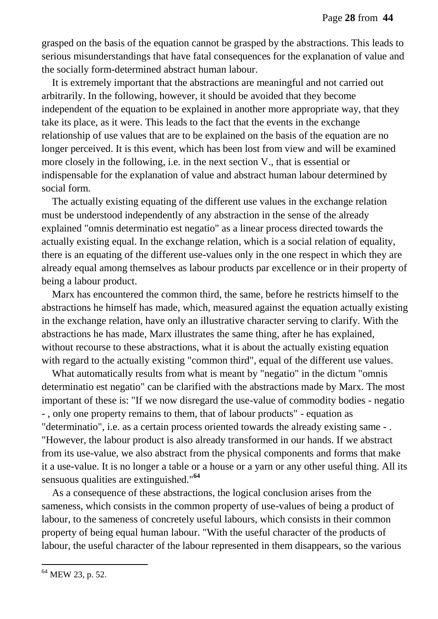grasped on the basis of the equation cannot be grasped by the abstractions. This leads to serious misunderstandings that have fatal consequences for the explanation of value and the socially form-determined abstract human labour.

It is extremely important that the abstractions are meaningful and not carried out arbitrarily. In the following, however, it should be avoided that they become independent of the equation to be explained in another more appropriate way, that they take its place, as it were. This leads to the fact that the events in the exchange relationship of use values that are to be explained on the basis of the equation are no longer perceived. It is this event, which has been lost from view and will be examined more closely in the following, i.e. in the next section V., that is essential or indispensable for the explanation of value and abstract human labour determined by social form.

The actually existing equating of the different use values in the exchange relation must be understood independently of any abstraction in the sense of the already explained "omnis determinatio est negatio" as a linear process directed towards the actually existing equal. In the exchange relation, which is a social relation of equality, there is an equating of the different use-values only in the one respect in which they are already equal among themselves as labour products par excellence or in their property of being a labour product.

Marx has encountered the common third, the same, before he restricts himself to the abstractions he himself has made, which, measured against the equation actually existing in the exchange relation, have only an illustrative character serving to clarify. With the abstractions he has made, Marx illustrates the same thing, after he has explained, without recourse to these abstractions, what it is about the actually existing equation with regard to the actually existing "common third", equal of the different use values.

What automatically results from what is meant by "negatio" in the dictum "omnis determinatio est negatio" can be clarified with the abstractions made by Marx. The most important of these is: "If we now disregard the use-value of commodity bodies - negatio - , only one property remains to them, that of labour products" - equation as "determinatio", i.e. as a certain process oriented towards the already existing same - . "However, the labour product is also already transformed in our hands. If we abstract from its use-value, we also abstract from the physical components and forms that make it a use-value. It is no longer a table or a house or a yarn or any other useful thing. All its sensuous qualities are extinguished."**<sup>64</sup>**

As a consequence of these abstractions, the logical conclusion arises from the sameness, which consists in the common property of use-values of being a product of labour, to the sameness of concretely useful labours, which consists in their common property of being equal human labour. "With the useful character of the products of labour, the useful character of the labour represented in them disappears, so the various

<sup>&</sup>lt;sup>64</sup> MEW 23, p. 52.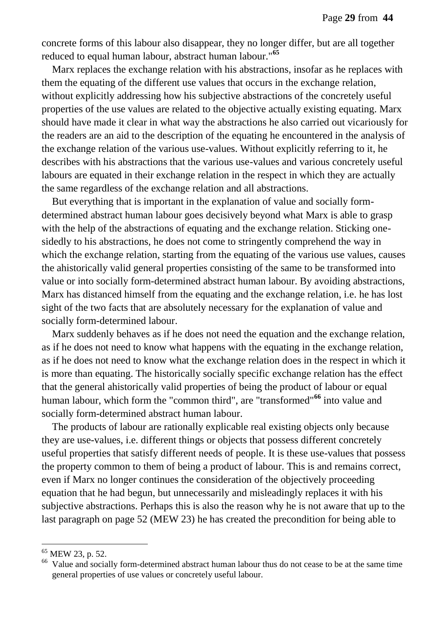concrete forms of this labour also disappear, they no longer differ, but are all together reduced to equal human labour, abstract human labour."**<sup>65</sup>**

Marx replaces the exchange relation with his abstractions, insofar as he replaces with them the equating of the different use values that occurs in the exchange relation, without explicitly addressing how his subjective abstractions of the concretely useful properties of the use values are related to the objective actually existing equating. Marx should have made it clear in what way the abstractions he also carried out vicariously for the readers are an aid to the description of the equating he encountered in the analysis of the exchange relation of the various use-values. Without explicitly referring to it, he describes with his abstractions that the various use-values and various concretely useful labours are equated in their exchange relation in the respect in which they are actually the same regardless of the exchange relation and all abstractions.

But everything that is important in the explanation of value and socially formdetermined abstract human labour goes decisively beyond what Marx is able to grasp with the help of the abstractions of equating and the exchange relation. Sticking onesidedly to his abstractions, he does not come to stringently comprehend the way in which the exchange relation, starting from the equating of the various use values, causes the ahistorically valid general properties consisting of the same to be transformed into value or into socially form-determined abstract human labour. By avoiding abstractions, Marx has distanced himself from the equating and the exchange relation, i.e. he has lost sight of the two facts that are absolutely necessary for the explanation of value and socially form-determined labour.

Marx suddenly behaves as if he does not need the equation and the exchange relation, as if he does not need to know what happens with the equating in the exchange relation, as if he does not need to know what the exchange relation does in the respect in which it is more than equating. The historically socially specific exchange relation has the effect that the general ahistorically valid properties of being the product of labour or equal human labour, which form the "common third", are "transformed"**<sup>66</sup>** into value and socially form-determined abstract human labour.

The products of labour are rationally explicable real existing objects only because they are use-values, i.e. different things or objects that possess different concretely useful properties that satisfy different needs of people. It is these use-values that possess the property common to them of being a product of labour. This is and remains correct, even if Marx no longer continues the consideration of the objectively proceeding equation that he had begun, but unnecessarily and misleadingly replaces it with his subjective abstractions. Perhaps this is also the reason why he is not aware that up to the last paragraph on page 52 (MEW 23) he has created the precondition for being able to

<sup>65</sup> MEW 23, p. 52.

<sup>&</sup>lt;sup>66</sup> Value and socially form-determined abstract human labour thus do not cease to be at the same time general properties of use values or concretely useful labour.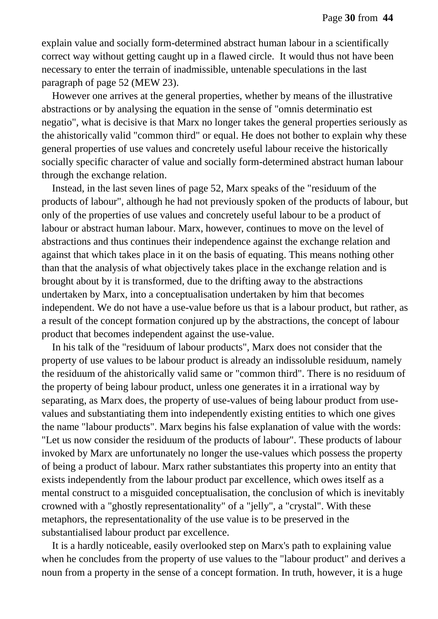explain value and socially form-determined abstract human labour in a scientifically correct way without getting caught up in a flawed circle. It would thus not have been necessary to enter the terrain of inadmissible, untenable speculations in the last paragraph of page 52 (MEW 23).

However one arrives at the general properties, whether by means of the illustrative abstractions or by analysing the equation in the sense of "omnis determinatio est negatio", what is decisive is that Marx no longer takes the general properties seriously as the ahistorically valid "common third" or equal. He does not bother to explain why these general properties of use values and concretely useful labour receive the historically socially specific character of value and socially form-determined abstract human labour through the exchange relation.

Instead, in the last seven lines of page 52, Marx speaks of the "residuum of the products of labour", although he had not previously spoken of the products of labour, but only of the properties of use values and concretely useful labour to be a product of labour or abstract human labour. Marx, however, continues to move on the level of abstractions and thus continues their independence against the exchange relation and against that which takes place in it on the basis of equating. This means nothing other than that the analysis of what objectively takes place in the exchange relation and is brought about by it is transformed, due to the drifting away to the abstractions undertaken by Marx, into a conceptualisation undertaken by him that becomes independent. We do not have a use-value before us that is a labour product, but rather, as a result of the concept formation conjured up by the abstractions, the concept of labour product that becomes independent against the use-value.

In his talk of the "residuum of labour products", Marx does not consider that the property of use values to be labour product is already an indissoluble residuum, namely the residuum of the ahistorically valid same or "common third". There is no residuum of the property of being labour product, unless one generates it in a irrational way by separating, as Marx does, the property of use-values of being labour product from usevalues and substantiating them into independently existing entities to which one gives the name "labour products". Marx begins his false explanation of value with the words: "Let us now consider the residuum of the products of labour". These products of labour invoked by Marx are unfortunately no longer the use-values which possess the property of being a product of labour. Marx rather substantiates this property into an entity that exists independently from the labour product par excellence, which owes itself as a mental construct to a misguided conceptualisation, the conclusion of which is inevitably crowned with a "ghostly representationality" of a "jelly", a "crystal". With these metaphors, the representationality of the use value is to be preserved in the substantialised labour product par excellence.

It is a hardly noticeable, easily overlooked step on Marx's path to explaining value when he concludes from the property of use values to the "labour product" and derives a noun from a property in the sense of a concept formation. In truth, however, it is a huge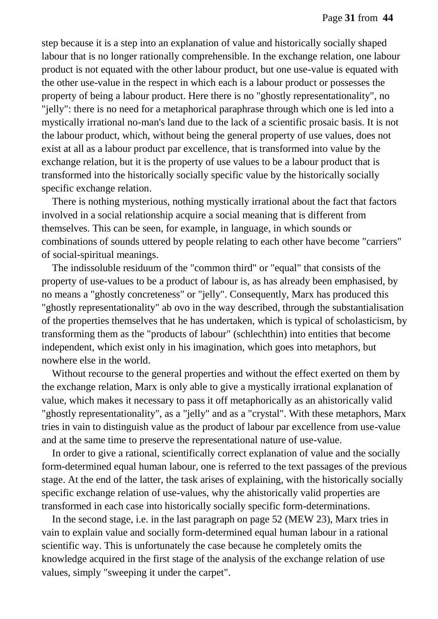step because it is a step into an explanation of value and historically socially shaped labour that is no longer rationally comprehensible. In the exchange relation, one labour product is not equated with the other labour product, but one use-value is equated with the other use-value in the respect in which each is a labour product or possesses the property of being a labour product. Here there is no "ghostly representationality", no "jelly": there is no need for a metaphorical paraphrase through which one is led into a mystically irrational no-man's land due to the lack of a scientific prosaic basis. It is not the labour product, which, without being the general property of use values, does not exist at all as a labour product par excellence, that is transformed into value by the exchange relation, but it is the property of use values to be a labour product that is transformed into the historically socially specific value by the historically socially specific exchange relation.

There is nothing mysterious, nothing mystically irrational about the fact that factors involved in a social relationship acquire a social meaning that is different from themselves. This can be seen, for example, in language, in which sounds or combinations of sounds uttered by people relating to each other have become "carriers" of social-spiritual meanings.

The indissoluble residuum of the "common third" or "equal" that consists of the property of use-values to be a product of labour is, as has already been emphasised, by no means a "ghostly concreteness" or "jelly". Consequently, Marx has produced this "ghostly representationality" ab ovo in the way described, through the substantialisation of the properties themselves that he has undertaken, which is typical of scholasticism, by transforming them as the "products of labour" (schlechthin) into entities that become independent, which exist only in his imagination, which goes into metaphors, but nowhere else in the world.

Without recourse to the general properties and without the effect exerted on them by the exchange relation, Marx is only able to give a mystically irrational explanation of value, which makes it necessary to pass it off metaphorically as an ahistorically valid "ghostly representationality", as a "jelly" and as a "crystal". With these metaphors, Marx tries in vain to distinguish value as the product of labour par excellence from use-value and at the same time to preserve the representational nature of use-value.

In order to give a rational, scientifically correct explanation of value and the socially form-determined equal human labour, one is referred to the text passages of the previous stage. At the end of the latter, the task arises of explaining, with the historically socially specific exchange relation of use-values, why the ahistorically valid properties are transformed in each case into historically socially specific form-determinations.

In the second stage, i.e. in the last paragraph on page 52 (MEW 23), Marx tries in vain to explain value and socially form-determined equal human labour in a rational scientific way. This is unfortunately the case because he completely omits the knowledge acquired in the first stage of the analysis of the exchange relation of use values, simply "sweeping it under the carpet".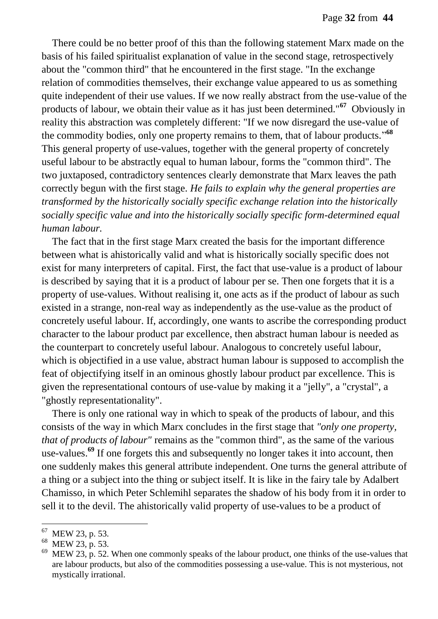There could be no better proof of this than the following statement Marx made on the basis of his failed spiritualist explanation of value in the second stage, retrospectively about the "common third" that he encountered in the first stage. "In the exchange relation of commodities themselves, their exchange value appeared to us as something quite independent of their use values. If we now really abstract from the use-value of the products of labour, we obtain their value as it has just been determined."**<sup>67</sup>** Obviously in reality this abstraction was completely different: "If we now disregard the use-value of the commodity bodies, only one property remains to them, that of labour products." **68** This general property of use-values, together with the general property of concretely useful labour to be abstractly equal to human labour, forms the "common third". The two juxtaposed, contradictory sentences clearly demonstrate that Marx leaves the path correctly begun with the first stage. *He fails to explain why the general properties are transformed by the historically socially specific exchange relation into the historically socially specific value and into the historically socially specific form-determined equal human labour.*

The fact that in the first stage Marx created the basis for the important difference between what is ahistorically valid and what is historically socially specific does not exist for many interpreters of capital. First, the fact that use-value is a product of labour is described by saying that it is a product of labour per se. Then one forgets that it is a property of use-values. Without realising it, one acts as if the product of labour as such existed in a strange, non-real way as independently as the use-value as the product of concretely useful labour. If, accordingly, one wants to ascribe the corresponding product character to the labour product par excellence, then abstract human labour is needed as the counterpart to concretely useful labour. Analogous to concretely useful labour, which is objectified in a use value, abstract human labour is supposed to accomplish the feat of objectifying itself in an ominous ghostly labour product par excellence. This is given the representational contours of use-value by making it a "jelly", a "crystal", a "ghostly representationality".

There is only one rational way in which to speak of the products of labour, and this consists of the way in which Marx concludes in the first stage that *"only one property, that of products of labour"* remains as the "common third", as the same of the various use-values.**<sup>69</sup>** If one forgets this and subsequently no longer takes it into account, then one suddenly makes this general attribute independent. One turns the general attribute of a thing or a subject into the thing or subject itself. It is like in the fairy tale by Adalbert Chamisso, in which Peter Schlemihl separates the shadow of his body from it in order to sell it to the devil. The ahistorically valid property of use-values to be a product of

 $67$  MEW 23, p. 53.

 $^{68}$  MEW 23, p. 53.

MEW 23, p. 52. When one commonly speaks of the labour product, one thinks of the use-values that are labour products, but also of the commodities possessing a use-value. This is not mysterious, not mystically irrational.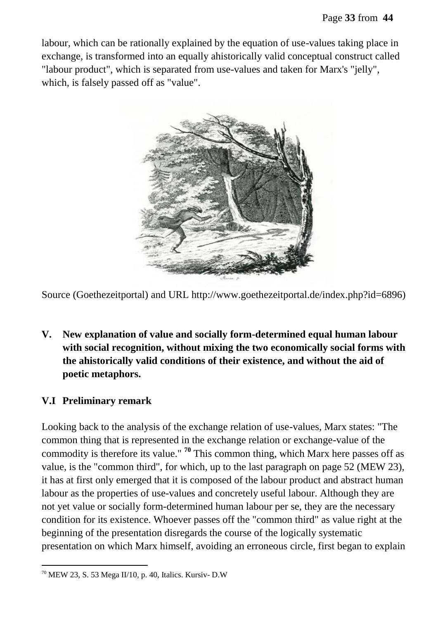labour, which can be rationally explained by the equation of use-values taking place in exchange, is transformed into an equally ahistorically valid conceptual construct called "labour product", which is separated from use-values and taken for Marx's "jelly", which, is falsely passed off as "value".



Source (Goethezeitportal) and URL http://www.goethezeitportal.de/index.php?id=6896)

**V. New explanation of value and socially form-determined equal human labour with social recognition, without mixing the two economically social forms with the ahistorically valid conditions of their existence, and without the aid of poetic metaphors.**

#### **V.I Preliminary remark**

 $\overline{a}$ 

Looking back to the analysis of the exchange relation of use-values, Marx states: "The common thing that is represented in the exchange relation or exchange-value of the commodity is therefore its value." **<sup>70</sup>** This common thing, which Marx here passes off as value, is the "common third", for which, up to the last paragraph on page 52 (MEW 23), it has at first only emerged that it is composed of the labour product and abstract human labour as the properties of use-values and concretely useful labour. Although they are not yet value or socially form-determined human labour per se, they are the necessary condition for its existence. Whoever passes off the "common third" as value right at the beginning of the presentation disregards the course of the logically systematic presentation on which Marx himself, avoiding an erroneous circle, first began to explain

 $70$  MEW 23, S. 53 Mega II/10, p. 40, Italics. Kursiv- D.W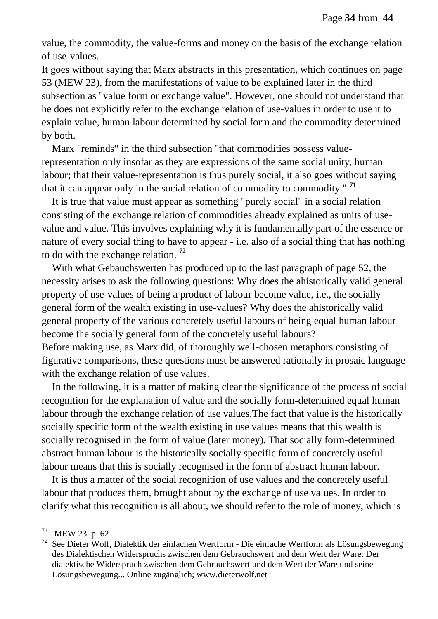value, the commodity, the value-forms and money on the basis of the exchange relation of use-values.

It goes without saying that Marx abstracts in this presentation, which continues on page 53 (MEW 23), from the manifestations of value to be explained later in the third subsection as "value form or exchange value". However, one should not understand that he does not explicitly refer to the exchange relation of use-values in order to use it to explain value, human labour determined by social form and the commodity determined by both.

Marx "reminds" in the third subsection "that commodities possess valuerepresentation only insofar as they are expressions of the same social unity, human labour; that their value-representation is thus purely social, it also goes without saying that it can appear only in the social relation of commodity to commodity." **<sup>71</sup>**

It is true that value must appear as something "purely social" in a social relation consisting of the exchange relation of commodities already explained as units of usevalue and value. This involves explaining why it is fundamentally part of the essence or nature of every social thing to have to appear - i.e. also of a social thing that has nothing to do with the exchange relation. **<sup>72</sup>**

With what Gebauchswerten has produced up to the last paragraph of page 52, the necessity arises to ask the following questions: Why does the ahistorically valid general property of use-values of being a product of labour become value, i.e., the socially general form of the wealth existing in use-values? Why does the ahistorically valid general property of the various concretely useful labours of being equal human labour become the socially general form of the concretely useful labours? Before making use, as Marx did, of thoroughly well-chosen metaphors consisting of

figurative comparisons, these questions must be answered rationally in prosaic language with the exchange relation of use values.

In the following, it is a matter of making clear the significance of the process of social recognition for the explanation of value and the socially form-determined equal human labour through the exchange relation of use values.The fact that value is the historically socially specific form of the wealth existing in use values means that this wealth is socially recognised in the form of value (later money). That socially form-determined abstract human labour is the historically socially specific form of concretely useful labour means that this is socially recognised in the form of abstract human labour.

It is thus a matter of the social recognition of use values and the concretely useful labour that produces them, brought about by the exchange of use values. In order to clarify what this recognition is all about, we should refer to the role of money, which is

 $71$  MEW 23. p. 62.

<sup>&</sup>lt;sup>72</sup> See Dieter Wolf, Dialektik der einfachen Wertform - Die einfache Wertform als Lösungsbewegung des Dialektischen Widerspruchs zwischen dem Gebrauchswert und dem Wert der Ware: Der dialektische Widerspruch zwischen dem Gebrauchswert und dem Wert der Ware und seine Lösungsbewegung... Online zugänglich; www.dieterwolf.net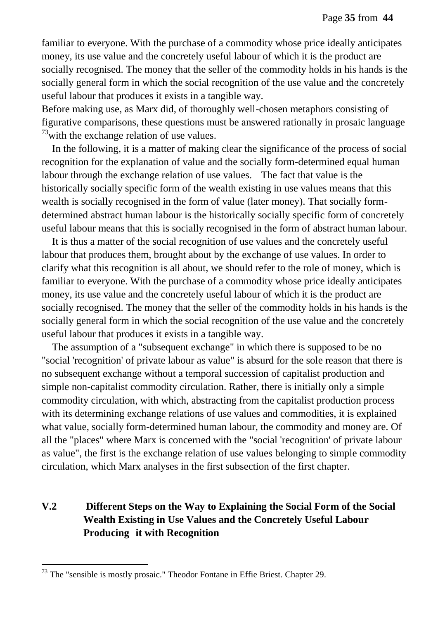familiar to everyone. With the purchase of a commodity whose price ideally anticipates money, its use value and the concretely useful labour of which it is the product are socially recognised. The money that the seller of the commodity holds in his hands is the socially general form in which the social recognition of the use value and the concretely useful labour that produces it exists in a tangible way.

Before making use, as Marx did, of thoroughly well-chosen metaphors consisting of figurative comparisons, these questions must be answered rationally in prosaic language  $73$  with the exchange relation of use values.

In the following, it is a matter of making clear the significance of the process of social recognition for the explanation of value and the socially form-determined equal human labour through the exchange relation of use values. The fact that value is the historically socially specific form of the wealth existing in use values means that this wealth is socially recognised in the form of value (later money). That socially formdetermined abstract human labour is the historically socially specific form of concretely useful labour means that this is socially recognised in the form of abstract human labour.

It is thus a matter of the social recognition of use values and the concretely useful labour that produces them, brought about by the exchange of use values. In order to clarify what this recognition is all about, we should refer to the role of money, which is familiar to everyone. With the purchase of a commodity whose price ideally anticipates money, its use value and the concretely useful labour of which it is the product are socially recognised. The money that the seller of the commodity holds in his hands is the socially general form in which the social recognition of the use value and the concretely useful labour that produces it exists in a tangible way.

The assumption of a "subsequent exchange" in which there is supposed to be no "social 'recognition' of private labour as value" is absurd for the sole reason that there is no subsequent exchange without a temporal succession of capitalist production and simple non-capitalist commodity circulation. Rather, there is initially only a simple commodity circulation, with which, abstracting from the capitalist production process with its determining exchange relations of use values and commodities, it is explained what value, socially form-determined human labour, the commodity and money are. Of all the "places" where Marx is concerned with the "social 'recognition' of private labour as value", the first is the exchange relation of use values belonging to simple commodity circulation, which Marx analyses in the first subsection of the first chapter.

### **V.2 Different Steps on the Way to Explaining the Social Form of the Social Wealth Existing in Use Values and the Concretely Useful Labour Producing it with Recognition**

 $73$  The "sensible is mostly prosaic." Theodor Fontane in Effie Briest. Chapter 29.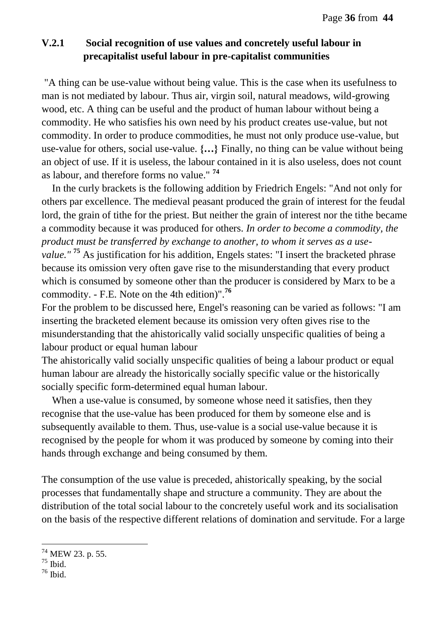### **V.2.1 Social recognition of use values and concretely useful labour in precapitalist useful labour in pre-capitalist communities**

"A thing can be use-value without being value. This is the case when its usefulness to man is not mediated by labour. Thus air, virgin soil, natural meadows, wild-growing wood, etc. A thing can be useful and the product of human labour without being a commodity. He who satisfies his own need by his product creates use-value, but not commodity. In order to produce commodities, he must not only produce use-value, but use-value for others, social use-value. **{…}** Finally, no thing can be value without being an object of use. If it is useless, the labour contained in it is also useless, does not count as labour, and therefore forms no value." **<sup>74</sup>**

In the curly brackets is the following addition by Friedrich Engels: "And not only for others par excellence. The medieval peasant produced the grain of interest for the feudal lord, the grain of tithe for the priest. But neither the grain of interest nor the tithe became a commodity because it was produced for others. *In order to become a commodity, the product must be transferred by exchange to another, to whom it serves as a usevalue."* **<sup>75</sup>** As justification for his addition, Engels states: "I insert the bracketed phrase because its omission very often gave rise to the misunderstanding that every product which is consumed by someone other than the producer is considered by Marx to be a commodity. - F.E. Note on the 4th edition)".**<sup>76</sup>**

For the problem to be discussed here, Engel's reasoning can be varied as follows: "I am inserting the bracketed element because its omission very often gives rise to the misunderstanding that the ahistorically valid socially unspecific qualities of being a labour product or equal human labour

The ahistorically valid socially unspecific qualities of being a labour product or equal human labour are already the historically socially specific value or the historically socially specific form-determined equal human labour.

When a use-value is consumed, by someone whose need it satisfies, then they recognise that the use-value has been produced for them by someone else and is subsequently available to them. Thus, use-value is a social use-value because it is recognised by the people for whom it was produced by someone by coming into their hands through exchange and being consumed by them.

The consumption of the use value is preceded, ahistorically speaking, by the social processes that fundamentally shape and structure a community. They are about the distribution of the total social labour to the concretely useful work and its socialisation on the basis of the respective different relations of domination and servitude. For a large

<sup>&</sup>lt;sup>74</sup> MEW 23. p. 55.

 $75$  Ibid.

 $76$  Ibid.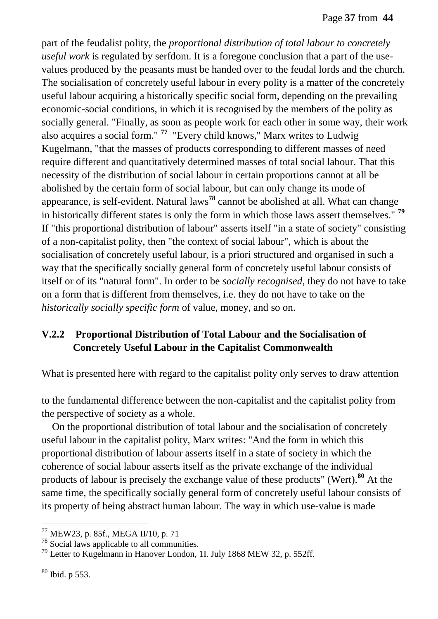part of the feudalist polity, the *proportional distribution of total labour to concretely useful work* is regulated by serfdom. It is a foregone conclusion that a part of the usevalues produced by the peasants must be handed over to the feudal lords and the church. The socialisation of concretely useful labour in every polity is a matter of the concretely useful labour acquiring a historically specific social form, depending on the prevailing economic-social conditions, in which it is recognised by the members of the polity as socially general. "Finally, as soon as people work for each other in some way, their work also acquires a social form." **<sup>77</sup>** "Every child knows," Marx writes to Ludwig Kugelmann, "that the masses of products corresponding to different masses of need require different and quantitatively determined masses of total social labour. That this necessity of the distribution of social labour in certain proportions cannot at all be abolished by the certain form of social labour, but can only change its mode of appearance, is self-evident. Natural laws**<sup>78</sup>** cannot be abolished at all. What can change in historically different states is only the form in which those laws assert themselves." **<sup>79</sup>** If "this proportional distribution of labour" asserts itself "in a state of society" consisting of a non-capitalist polity, then "the context of social labour", which is about the socialisation of concretely useful labour, is a priori structured and organised in such a way that the specifically socially general form of concretely useful labour consists of itself or of its "natural form". In order to be *socially recognised*, they do not have to take on a form that is different from themselves, i.e. they do not have to take on the *historically socially specific form* of value, money, and so on.

## **V.2.2 Proportional Distribution of Total Labour and the Socialisation of Concretely Useful Labour in the Capitalist Commonwealth**

What is presented here with regard to the capitalist polity only serves to draw attention

to the fundamental difference between the non-capitalist and the capitalist polity from the perspective of society as a whole.

On the proportional distribution of total labour and the socialisation of concretely useful labour in the capitalist polity, Marx writes: "And the form in which this proportional distribution of labour asserts itself in a state of society in which the coherence of social labour asserts itself as the private exchange of the individual products of labour is precisely the exchange value of these products" (Wert).**<sup>80</sup>** At the same time, the specifically socially general form of concretely useful labour consists of its property of being abstract human labour. The way in which use-value is made

<sup>77</sup> MEW23, p. 85f., MEGA II/10, p. 71

<sup>78</sup> Social laws applicable to all communities.

<sup>79</sup> Letter to Kugelmann in Hanover London, 1I. July 1868 MEW 32, p. 552ff.

<sup>80</sup> Ibid. p 553.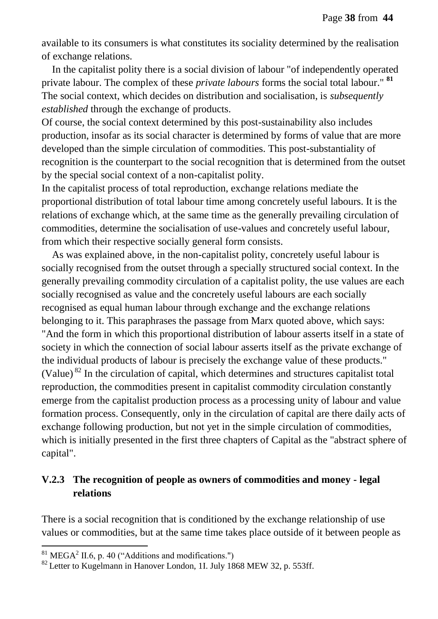available to its consumers is what constitutes its sociality determined by the realisation of exchange relations.

In the capitalist polity there is a social division of labour "of independently operated private labour. The complex of these *private labours* forms the social total labour." **<sup>81</sup>** The social context, which decides on distribution and socialisation, is *subsequently established* through the exchange of products.

Of course, the social context determined by this post-sustainability also includes production, insofar as its social character is determined by forms of value that are more developed than the simple circulation of commodities. This post-substantiality of recognition is the counterpart to the social recognition that is determined from the outset by the special social context of a non-capitalist polity.

In the capitalist process of total reproduction, exchange relations mediate the proportional distribution of total labour time among concretely useful labours. It is the relations of exchange which, at the same time as the generally prevailing circulation of commodities, determine the socialisation of use-values and concretely useful labour, from which their respective socially general form consists.

As was explained above, in the non-capitalist polity, concretely useful labour is socially recognised from the outset through a specially structured social context. In the generally prevailing commodity circulation of a capitalist polity, the use values are each socially recognised as value and the concretely useful labours are each socially recognised as equal human labour through exchange and the exchange relations belonging to it. This paraphrases the passage from Marx quoted above, which says: "And the form in which this proportional distribution of labour asserts itself in a state of society in which the connection of social labour asserts itself as the private exchange of the individual products of labour is precisely the exchange value of these products." (Value)  $^{82}$  In the circulation of capital, which determines and structures capitalist total reproduction, the commodities present in capitalist commodity circulation constantly emerge from the capitalist production process as a processing unity of labour and value formation process. Consequently, only in the circulation of capital are there daily acts of exchange following production, but not yet in the simple circulation of commodities, which is initially presented in the first three chapters of Capital as the "abstract sphere of capital".

### **V.2.3 The recognition of people as owners of commodities and money - legal relations**

There is a social recognition that is conditioned by the exchange relationship of use values or commodities, but at the same time takes place outside of it between people as

 ${}^{81}$  MEGA<sup>2</sup> II.6, p. 40 ("Additions and modifications.")

 $82$  Letter to Kugelmann in Hanover London, 1I. July 1868 MEW 32, p. 553ff.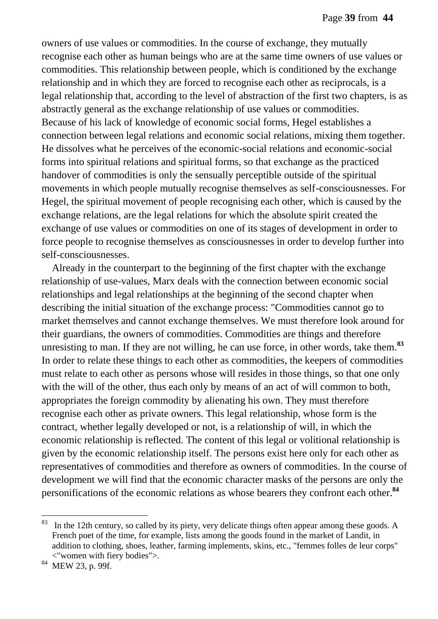owners of use values or commodities. In the course of exchange, they mutually recognise each other as human beings who are at the same time owners of use values or commodities. This relationship between people, which is conditioned by the exchange relationship and in which they are forced to recognise each other as reciprocals, is a legal relationship that, according to the level of abstraction of the first two chapters, is as abstractly general as the exchange relationship of use values or commodities. Because of his lack of knowledge of economic social forms, Hegel establishes a connection between legal relations and economic social relations, mixing them together. He dissolves what he perceives of the economic-social relations and economic-social forms into spiritual relations and spiritual forms, so that exchange as the practiced handover of commodities is only the sensually perceptible outside of the spiritual movements in which people mutually recognise themselves as self-consciousnesses. For Hegel, the spiritual movement of people recognising each other, which is caused by the exchange relations, are the legal relations for which the absolute spirit created the exchange of use values or commodities on one of its stages of development in order to force people to recognise themselves as consciousnesses in order to develop further into self-consciousnesses.

Already in the counterpart to the beginning of the first chapter with the exchange relationship of use-values, Marx deals with the connection between economic social relationships and legal relationships at the beginning of the second chapter when describing the initial situation of the exchange process: "Commodities cannot go to market themselves and cannot exchange themselves. We must therefore look around for their guardians, the owners of commodities. Commodities are things and therefore unresisting to man. If they are not willing, he can use force, in other words, take them.**<sup>83</sup>** In order to relate these things to each other as commodities, the keepers of commodities must relate to each other as persons whose will resides in those things, so that one only with the will of the other, thus each only by means of an act of will common to both, appropriates the foreign commodity by alienating his own. They must therefore recognise each other as private owners. This legal relationship, whose form is the contract, whether legally developed or not, is a relationship of will, in which the economic relationship is reflected. The content of this legal or volitional relationship is given by the economic relationship itself. The persons exist here only for each other as representatives of commodities and therefore as owners of commodities. In the course of development we will find that the economic character masks of the persons are only the personifications of the economic relations as whose bearers they confront each other.**<sup>84</sup>** 

 $83$  In the 12th century, so called by its piety, very delicate things often appear among these goods. A French poet of the time, for example, lists among the goods found in the market of Landit, in addition to clothing, shoes, leather, farming implements, skins, etc., "femmes folles de leur corps" <"women with fiery bodies">.

<sup>84</sup> MEW 23, p. 99f.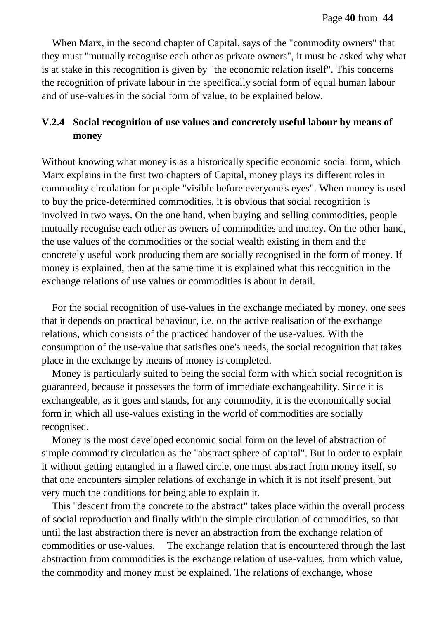When Marx, in the second chapter of Capital, says of the "commodity owners" that they must "mutually recognise each other as private owners", it must be asked why what is at stake in this recognition is given by "the economic relation itself". This concerns the recognition of private labour in the specifically social form of equal human labour and of use-values in the social form of value, to be explained below.

## **V.2.4 Social recognition of use values and concretely useful labour by means of money**

Without knowing what money is as a historically specific economic social form, which Marx explains in the first two chapters of Capital, money plays its different roles in commodity circulation for people "visible before everyone's eyes". When money is used to buy the price-determined commodities, it is obvious that social recognition is involved in two ways. On the one hand, when buying and selling commodities, people mutually recognise each other as owners of commodities and money. On the other hand, the use values of the commodities or the social wealth existing in them and the concretely useful work producing them are socially recognised in the form of money. If money is explained, then at the same time it is explained what this recognition in the exchange relations of use values or commodities is about in detail.

For the social recognition of use-values in the exchange mediated by money, one sees that it depends on practical behaviour, i.e. on the active realisation of the exchange relations, which consists of the practiced handover of the use-values. With the consumption of the use-value that satisfies one's needs, the social recognition that takes place in the exchange by means of money is completed.

Money is particularly suited to being the social form with which social recognition is guaranteed, because it possesses the form of immediate exchangeability. Since it is exchangeable, as it goes and stands, for any commodity, it is the economically social form in which all use-values existing in the world of commodities are socially recognised.

Money is the most developed economic social form on the level of abstraction of simple commodity circulation as the "abstract sphere of capital". But in order to explain it without getting entangled in a flawed circle, one must abstract from money itself, so that one encounters simpler relations of exchange in which it is not itself present, but very much the conditions for being able to explain it.

This "descent from the concrete to the abstract" takes place within the overall process of social reproduction and finally within the simple circulation of commodities, so that until the last abstraction there is never an abstraction from the exchange relation of commodities or use-values. The exchange relation that is encountered through the last abstraction from commodities is the exchange relation of use-values, from which value, the commodity and money must be explained. The relations of exchange, whose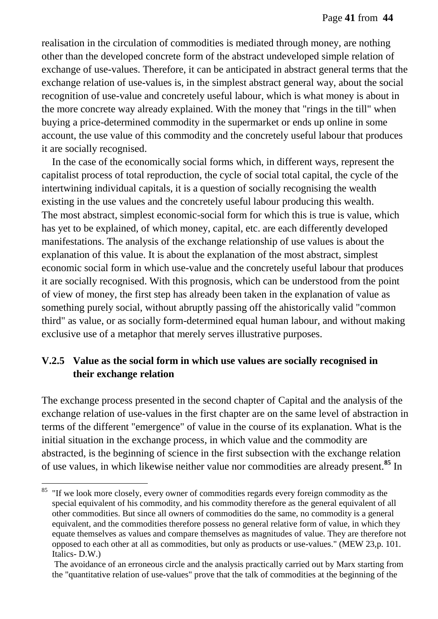realisation in the circulation of commodities is mediated through money, are nothing other than the developed concrete form of the abstract undeveloped simple relation of exchange of use-values. Therefore, it can be anticipated in abstract general terms that the exchange relation of use-values is, in the simplest abstract general way, about the social recognition of use-value and concretely useful labour, which is what money is about in the more concrete way already explained. With the money that "rings in the till" when buying a price-determined commodity in the supermarket or ends up online in some account, the use value of this commodity and the concretely useful labour that produces it are socially recognised.

In the case of the economically social forms which, in different ways, represent the capitalist process of total reproduction, the cycle of social total capital, the cycle of the intertwining individual capitals, it is a question of socially recognising the wealth existing in the use values and the concretely useful labour producing this wealth. The most abstract, simplest economic-social form for which this is true is value, which has yet to be explained, of which money, capital, etc. are each differently developed manifestations. The analysis of the exchange relationship of use values is about the explanation of this value. It is about the explanation of the most abstract, simplest economic social form in which use-value and the concretely useful labour that produces it are socially recognised. With this prognosis, which can be understood from the point of view of money, the first step has already been taken in the explanation of value as something purely social, without abruptly passing off the ahistorically valid "common third" as value, or as socially form-determined equal human labour, and without making exclusive use of a metaphor that merely serves illustrative purposes.

# **V.2.5 Value as the social form in which use values are socially recognised in their exchange relation**

The exchange process presented in the second chapter of Capital and the analysis of the exchange relation of use-values in the first chapter are on the same level of abstraction in terms of the different "emergence" of value in the course of its explanation. What is the initial situation in the exchange process, in which value and the commodity are abstracted, is the beginning of science in the first subsection with the exchange relation of use values, in which likewise neither value nor commodities are already present.**<sup>85</sup>** In

<sup>&</sup>lt;sup>85</sup> "If we look more closely, every owner of commodities regards every foreign commodity as the special equivalent of his commodity, and his commodity therefore as the general equivalent of all other commodities. But since all owners of commodities do the same, no commodity is a general equivalent, and the commodities therefore possess no general relative form of value, in which they equate themselves as values and compare themselves as magnitudes of value. They are therefore not opposed to each other at all as commodities, but only as products or use-values." (MEW 23,p. 101. Italics- D.W.)

The avoidance of an erroneous circle and the analysis practically carried out by Marx starting from the "quantitative relation of use-values" prove that the talk of commodities at the beginning of the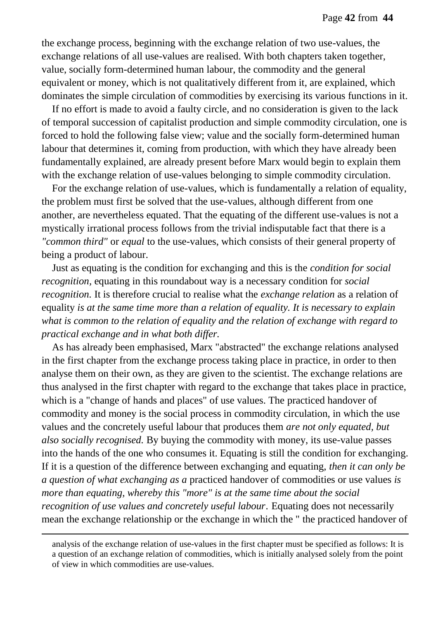the exchange process, beginning with the exchange relation of two use-values, the exchange relations of all use-values are realised. With both chapters taken together, value, socially form-determined human labour, the commodity and the general equivalent or money, which is not qualitatively different from it, are explained, which dominates the simple circulation of commodities by exercising its various functions in it.

If no effort is made to avoid a faulty circle, and no consideration is given to the lack of temporal succession of capitalist production and simple commodity circulation, one is forced to hold the following false view; value and the socially form-determined human labour that determines it, coming from production, with which they have already been fundamentally explained, are already present before Marx would begin to explain them with the exchange relation of use-values belonging to simple commodity circulation.

For the exchange relation of use-values, which is fundamentally a relation of equality, the problem must first be solved that the use-values, although different from one another, are nevertheless equated. That the equating of the different use-values is not a mystically irrational process follows from the trivial indisputable fact that there is a *"common third"* or *equal* to the use-values, which consists of their general property of being a product of labour.

Just as equating is the condition for exchanging and this is the *condition for social recognition,* equating in this roundabout way is a necessary condition for *social recognition.* It is therefore crucial to realise what the *exchange relation* as a relation of equality *is at the same time more than a relation of equality. It is necessary to explain what is common to the relation of equality and the relation of exchange with regard to practical exchange and in what both differ.* 

As has already been emphasised, Marx "abstracted" the exchange relations analysed in the first chapter from the exchange process taking place in practice, in order to then analyse them on their own, as they are given to the scientist. The exchange relations are thus analysed in the first chapter with regard to the exchange that takes place in practice, which is a "change of hands and places" of use values. The practiced handover of commodity and money is the social process in commodity circulation, in which the use values and the concretely useful labour that produces them *are not only equated, but also socially recognised.* By buying the commodity with money, its use-value passes into the hands of the one who consumes it. Equating is still the condition for exchanging. If it is a question of the difference between exchanging and equating, *then it can only be a question of what exchanging as a* practiced handover of commodities or use values *is more than equating, whereby this "more" is at the same time about the social recognition of use values and concretely useful labour*. Equating does not necessarily mean the exchange relationship or the exchange in which the " the practiced handover of

analysis of the exchange relation of use-values in the first chapter must be specified as follows: It is a question of an exchange relation of commodities, which is initially analysed solely from the point of view in which commodities are use-values.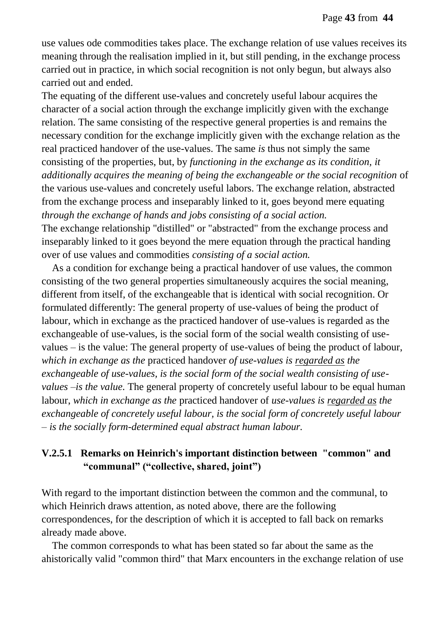use values ode commodities takes place. The exchange relation of use values receives its meaning through the realisation implied in it, but still pending, in the exchange process carried out in practice, in which social recognition is not only begun, but always also carried out and ended.

The equating of the different use-values and concretely useful labour acquires the character of a social action through the exchange implicitly given with the exchange relation. The same consisting of the respective general properties is and remains the necessary condition for the exchange implicitly given with the exchange relation as the real practiced handover of the use-values. The same *is* thus not simply the same consisting of the properties, but, by *functioning in the exchange as its condition, it additionally acquires the meaning of being the exchangeable or the social recognition* of the various use-values and concretely useful labors. The exchange relation, abstracted from the exchange process and inseparably linked to it, goes beyond mere equating *through the exchange of hands and jobs consisting of a social action.* The exchange relationship "distilled" or "abstracted" from the exchange process and

inseparably linked to it goes beyond the mere equation through the practical handing over of use values and commodities *consisting of a social action.*

As a condition for exchange being a practical handover of use values, the common consisting of the two general properties simultaneously acquires the social meaning, different from itself, of the exchangeable that is identical with social recognition. Or formulated differently: The general property of use-values of being the product of labour, which in exchange as the practiced handover of use-values is regarded as the exchangeable of use-values, is the social form of the social wealth consisting of usevalues – is the value: The general property of use-values of being the product of labour, *which in exchange as the* practiced handover *of use-values is regarded as the exchangeable of use-values, is the social form of the social wealth consisting of usevalues –is the value.* The general property of concretely useful labour to be equal human labour, *which in exchange as the* practiced handover of *use-values is regarded as the exchangeable of concretely useful labour, is the social form of concretely useful labour – is the socially form-determined equal abstract human labour.*

### **V.2.5.1 Remarks on Heinrich's important distinction between "common" and "communal" ("collective, shared, joint")**

With regard to the important distinction between the common and the communal, to which Heinrich draws attention, as noted above, there are the following correspondences, for the description of which it is accepted to fall back on remarks already made above.

The common corresponds to what has been stated so far about the same as the ahistorically valid "common third" that Marx encounters in the exchange relation of use